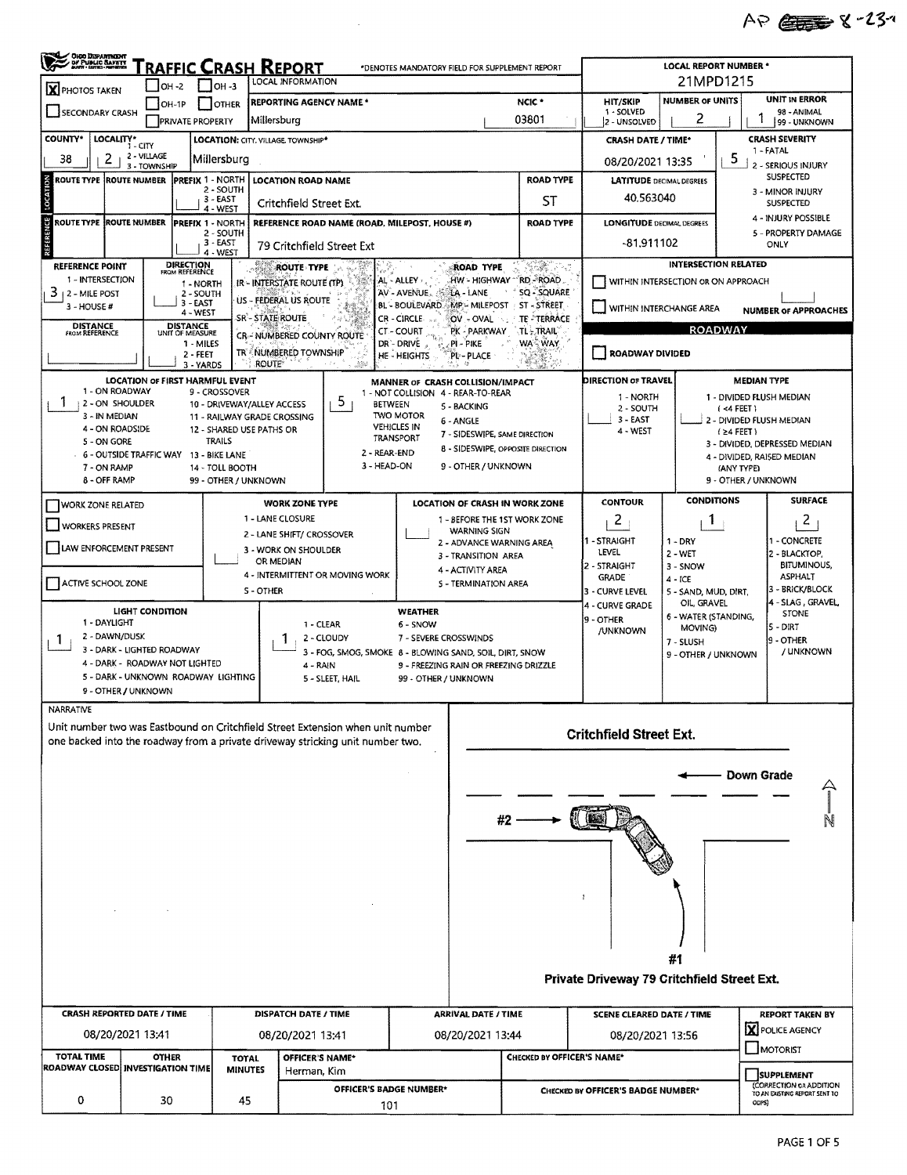## AP 23-23-

| <b>OHJO DEPARTMENT<br/>• DF PUBLIC BAFATT<br/>• Avitt • Estina - Meteorit</b><br><b>RAFFIC CRASH REPORT</b><br>*DENOTES MANDATORY FIELD FOR SUPPLEMENT REPORT |                                                                             |                                    |                                      |                          |                                                           |                                                                                                                           |                                                                        |                                                 | <b>LOCAL REPORT NUMBER *</b>                                   |                                                                              |                                     |                                                             |                                        |  |  |  |
|---------------------------------------------------------------------------------------------------------------------------------------------------------------|-----------------------------------------------------------------------------|------------------------------------|--------------------------------------|--------------------------|-----------------------------------------------------------|---------------------------------------------------------------------------------------------------------------------------|------------------------------------------------------------------------|-------------------------------------------------|----------------------------------------------------------------|------------------------------------------------------------------------------|-------------------------------------|-------------------------------------------------------------|----------------------------------------|--|--|--|
| LOCAL INFORMATION<br>$\Box$ OH -3<br>$IOH -2$<br><b>X</b> PHOTOS TAKEN                                                                                        |                                                                             |                                    |                                      |                          |                                                           |                                                                                                                           |                                                                        |                                                 |                                                                | 21MPD1215                                                                    |                                     |                                                             |                                        |  |  |  |
|                                                                                                                                                               | <b>REPORTING AGENCY NAME *</b><br>IOH-1P<br><b>OTHER</b><br>SECONDARY CRASH |                                    |                                      |                          |                                                           |                                                                                                                           |                                                                        |                                                 | NCIC <sup>*</sup>                                              | <b>HIT/SKIP</b><br>1 - SOLVED                                                | <b>NUMBER OF UNITS</b>              | UNIT IN ERROR<br>98 - ANIMAL                                |                                        |  |  |  |
|                                                                                                                                                               |                                                                             | <b>PRIVATE PROPERTY</b>            |                                      |                          | Millersburg                                               |                                                                                                                           |                                                                        |                                                 | 03801                                                          | 2 - UNSOLVED                                                                 | 2                                   | 99 - UNKNOWN                                                |                                        |  |  |  |
| LOCALITY*<br><b>COUNTY</b> *                                                                                                                                  | $1 - CITY$                                                                  |                                    |                                      |                          | LOCATION: CITY, VILLAGE TOWNSHIP*                         |                                                                                                                           |                                                                        |                                                 |                                                                | <b>CRASH DATE / TIME*</b>                                                    |                                     | <b>CRASH SEVERITY</b><br>1 - FATAL                          |                                        |  |  |  |
| 2<br>38                                                                                                                                                       | 2 - VILLAGE<br>3 - TOWNSHIP                                                 |                                    | Millersburg                          |                          |                                                           |                                                                                                                           |                                                                        |                                                 |                                                                | 08/20/2021 13:35                                                             |                                     |                                                             | 5<br>- SERIOUS INJURY                  |  |  |  |
| <b>LOCATION</b><br><b>ROUTE TYPE</b>                                                                                                                          | <b>ROUTE NUMBER</b>                                                         |                                    | PREFIX 1 - NORTH<br>2 - SOUTH        |                          | <b>LOCATION ROAD NAME</b>                                 |                                                                                                                           |                                                                        |                                                 | ROAD TYPE                                                      |                                                                              | <b>LATITUDE</b> DECIMAL DEGREES     | <b>SUSPECTED</b><br>3 - MINOR INJURY                        |                                        |  |  |  |
|                                                                                                                                                               |                                                                             |                                    | 3 - EAST<br>4 - WEST                 |                          | Critchfield Street Ext.                                   |                                                                                                                           |                                                                        |                                                 | ST                                                             | 40.563040                                                                    |                                     | SUSPECTED                                                   |                                        |  |  |  |
| NCE <sub>1</sub><br>ROUTE TYPE IROUTE NUMBER                                                                                                                  |                                                                             |                                    | <b>PREFIX 1 - NORTH</b><br>2 - SOUTH |                          |                                                           | REFERENCE ROAD NAME (ROAD, MILEPOST, HOUSE #)                                                                             |                                                                        |                                                 | <b>ROAD TYPE</b>                                               | <b>LONGITUDE DECIMAL DEGREES</b>                                             |                                     | 4 - INJURY POSSIBLE<br>5 - PROPERTY DAMAGE                  |                                        |  |  |  |
| REFERE                                                                                                                                                        |                                                                             |                                    | 3 - EAST<br>4 - WEST                 |                          | 79 Critchfield Street Ext                                 |                                                                                                                           |                                                                        |                                                 |                                                                | -81,911102                                                                   |                                     |                                                             | ONLY                                   |  |  |  |
| <b>REFERENCE POINT</b>                                                                                                                                        |                                                                             | <b>DIRECTION</b><br>FROM REFERENCE |                                      | وي به<br>دربرون          | <b>ROUTE TYPE</b>                                         |                                                                                                                           |                                                                        | ROAD TYPE                                       | 32.                                                            |                                                                              | <b>INTERSECTION RELATED</b>         |                                                             |                                        |  |  |  |
| 1 - INTERSECTION<br>$3 + 2 -$ MILE POST                                                                                                                       |                                                                             |                                    | 1 - NORTH<br>2 - SOUTH               |                          | IR - INTERSTATE ROUTE (TP).                               |                                                                                                                           | AL - ALLEY,<br>AV - AVENUE.                                            | LA - LANE                                       | HW - HIGHWAY "RD - ROAD.<br>SO - SQUARE                        | WITHIN INTERSECTION OR ON APPROACH                                           |                                     |                                                             |                                        |  |  |  |
| 3 - HOUSE #                                                                                                                                                   |                                                                             |                                    | $3 - EAST$<br>4 - WEST               |                          | US - FEDERAL US ROUTE                                     |                                                                                                                           |                                                                        |                                                 | BL - BOULEVARD MP - MILEPOST ST - STREET                       | WITHIN INTERCHANGE AREA<br><b>NUMBER OF APPROACHES</b>                       |                                     |                                                             |                                        |  |  |  |
| <b>DISTANCE</b><br><b>FROM REFERENCE</b>                                                                                                                      |                                                                             | <b>DISTANCE</b><br>UNIT OF MEASURE |                                      |                          | SR'- STATE ROUTE                                          |                                                                                                                           | CR - CIRCLE<br><b>CT-COURT</b>                                         | OV - OVAL<br>PK - PARKWAY                       | TE - TERRACE<br>TL-TRAIL                                       | <b>ROADWAY</b>                                                               |                                     |                                                             |                                        |  |  |  |
|                                                                                                                                                               |                                                                             |                                    | 1 MILES<br>2 - FEET                  |                          |                                                           | CR- NUMBERED COUNTY ROUTE<br><b>WA WAY</b><br>DR'- DRIVE<br>PI - PIKE<br>TR - NUMBERED TOWNSHIP<br>HE-HEIGHTS<br>PL-PLACE |                                                                        |                                                 |                                                                |                                                                              | <b>ROADWAY DIVIDED</b>              |                                                             |                                        |  |  |  |
|                                                                                                                                                               |                                                                             |                                    | 3 - YARDS                            |                          | <b>ROUTE</b>                                              |                                                                                                                           |                                                                        |                                                 | WS.                                                            |                                                                              |                                     |                                                             |                                        |  |  |  |
| 1 - ON ROADWAY                                                                                                                                                | <b>LOCATION OF FIRST HARMFUL EVENT</b>                                      |                                    | 9 - CROSSOVER                        |                          |                                                           |                                                                                                                           | MANNER OF CRASH COLLISION/IMPACT<br>1 - NOT COLLISION 4 - REAR-TO-REAR |                                                 |                                                                | <b>DIRECTION OF TRAVEL</b><br><b>MEDIAN TYPE</b><br>1 - DIVIDED FLUSH MEDIAN |                                     |                                                             |                                        |  |  |  |
| Ŧ<br>2 - ON SHOULDER<br>3 - IN MEDIAN                                                                                                                         |                                                                             |                                    |                                      |                          | 10 - DRIVEWAY/ALLEY ACCESS<br>11 - RAILWAY GRADE CROSSING | 5<br><b>BETWEEN</b>                                                                                                       | <b>TWO MOTOR</b>                                                       | 5 - BACKING                                     |                                                                | 1 - NORTH<br>2 - SOUTH                                                       | $( < 4$ FEET $)$                    |                                                             |                                        |  |  |  |
| 4 - ON ROADSIDE                                                                                                                                               |                                                                             |                                    |                                      | 12 - SHARED USE PATHS OR |                                                           |                                                                                                                           | <b>VEHICLES IN</b>                                                     | 6 - ANGLE<br>7 - SIDESWIPE, SAME DIRECTION      |                                                                | 3 - EAST<br>4 - WEST                                                         |                                     | 2 - DIVIDED FLUSH MEDIAN<br>$(24$ FEET)                     |                                        |  |  |  |
| 5 - ON GORE<br>6 - OUTSIDE TRAFFIC WAY 13 - BIKE LANE                                                                                                         |                                                                             |                                    | <b>TRAILS</b>                        |                          |                                                           | 2 - REAR-END                                                                                                              | TRANSPORT                                                              |                                                 | 8 - SIDESWIPE, OPPOSITE DIRECTION                              |                                                                              |                                     | 3 - DIVIDED, DEPRESSED MEDIAN<br>4 - DIVIDED, RAISED MEDIAN |                                        |  |  |  |
| 7 - ON RAMP<br>8 - OFF RAMP                                                                                                                                   |                                                                             |                                    | 14 - TOLL BOOTH                      |                          |                                                           | 3 - HEAD-ON                                                                                                               |                                                                        | 9 - OTHER / UNKNOWN                             |                                                                |                                                                              |                                     | (ANY TYPE)<br>9 - OTHER / UNKNOWN                           |                                        |  |  |  |
|                                                                                                                                                               |                                                                             |                                    |                                      | 99 - OTHER / UNKNOWN     |                                                           |                                                                                                                           |                                                                        |                                                 |                                                                | <b>CONTOUR</b>                                                               | <b>CONDITIONS</b>                   |                                                             | <b>SURFACE</b>                         |  |  |  |
| <b>WORK ZONE RELATED</b>                                                                                                                                      |                                                                             |                                    |                                      |                          | <b>WORK ZONE TYPE</b><br>1 - LANE CLOSURE                 |                                                                                                                           |                                                                        |                                                 | LOCATION OF CRASH IN WORK ZONE<br>1 - BEFORE THE 1ST WORK ZONE | 2                                                                            | 1                                   |                                                             | $\mathbf{2}$                           |  |  |  |
| <b>WORKERS PRESENT</b>                                                                                                                                        |                                                                             |                                    |                                      |                          | 2 - LANE SHIFT/ CROSSOVER                                 |                                                                                                                           |                                                                        | <b>WARNING SIGN</b><br>2 - ADVANCE WARNING AREA |                                                                | 1 - STRAIGHT                                                                 | $1 - DRY$                           |                                                             | - CONCRETE                             |  |  |  |
| LAW ENFORCEMENT PRESENT                                                                                                                                       |                                                                             |                                    |                                      |                          | 3 - WORK ON SHOULDER<br>OR MEDIAN                         |                                                                                                                           |                                                                        | 3 - TRANSITION AREA                             |                                                                | LEVEL                                                                        | $2 - WET$                           |                                                             | 2 - BLACKTOP,                          |  |  |  |
| ACTIVE SCHOOL ZONE                                                                                                                                            |                                                                             |                                    |                                      |                          |                                                           | 4 - INTERMITTENT OR MOVING WORK                                                                                           |                                                                        | 4 - ACTIVITY AREA<br>5 - TERMINATION AREA       |                                                                | 2 - STRAIGHT<br><b>GRADE</b>                                                 | 3 - SNOW<br>$4 - ICE$               |                                                             | <b>BITUMINOUS,</b><br><b>ASPHALT</b>   |  |  |  |
|                                                                                                                                                               |                                                                             |                                    |                                      | S-OTHER                  |                                                           |                                                                                                                           |                                                                        |                                                 |                                                                | 3 - CURVE LEVEL<br>4 - CURVE GRADE                                           | 5 - SAND, MUD, DIRT,<br>OIL, GRAVEL |                                                             | 3 - BRICK/BLOCK<br>4 - SLAG, GRAVEL    |  |  |  |
| 1 - DAYLIGHT                                                                                                                                                  | LIGHT CONDITION                                                             |                                    |                                      |                          | 1 - CLEAR                                                 |                                                                                                                           | <b>WEATHER</b><br>6 - SNOW                                             |                                                 |                                                                | 9 - OTHER                                                                    | 6 - WATER (STANDING,<br>MOVING)     |                                                             | <b>STONE</b><br>l5 - DIRT              |  |  |  |
| 2 - DAWN/DUSK<br>1.                                                                                                                                           |                                                                             |                                    |                                      |                          |                                                           | 2 - CLOUDY                                                                                                                | 7 - SEVERE CROSSWINDS                                                  |                                                 |                                                                | /UNKNOWN                                                                     | 7 - SLUSH                           |                                                             | 9 - OTHER                              |  |  |  |
| 3 - DARK - LIGHTED ROADWAY<br>4 - DARK - ROADWAY NOT LIGHTED                                                                                                  |                                                                             |                                    |                                      |                          | 4 - RAIN                                                  | 3 - FOG, SMOG, SMOKE 8 - BLOWING SAND, SOIL, DIRT, SNOW                                                                   |                                                                        | 9 - FREEZING RAIN OR FREEZING DRIZZLE           |                                                                |                                                                              |                                     | / UNKNOWN<br>9 - OTHER / UNKNOWN                            |                                        |  |  |  |
| 5 - DARK - UNKNOWN ROADWAY LIGHTING                                                                                                                           |                                                                             |                                    |                                      |                          |                                                           | 5 - SLEET, HAIL                                                                                                           | 99 - OTHER / UNKNOWN                                                   |                                                 |                                                                |                                                                              |                                     |                                                             |                                        |  |  |  |
| 9 - OTHER / UNKNOWN<br>NARRATIVE                                                                                                                              |                                                                             |                                    |                                      |                          |                                                           |                                                                                                                           |                                                                        |                                                 |                                                                |                                                                              |                                     |                                                             |                                        |  |  |  |
| Unit number two was Eastbound on Critchfield Street Extension when unit number                                                                                |                                                                             |                                    |                                      |                          |                                                           |                                                                                                                           |                                                                        |                                                 |                                                                |                                                                              |                                     |                                                             |                                        |  |  |  |
| one backed into the roadway from a private driveway stricking unit number two.                                                                                |                                                                             |                                    |                                      |                          |                                                           |                                                                                                                           |                                                                        |                                                 |                                                                | <b>Critchfield Street Ext.</b>                                               |                                     |                                                             |                                        |  |  |  |
|                                                                                                                                                               |                                                                             |                                    |                                      |                          |                                                           |                                                                                                                           |                                                                        |                                                 |                                                                |                                                                              |                                     |                                                             |                                        |  |  |  |
|                                                                                                                                                               |                                                                             |                                    |                                      |                          |                                                           |                                                                                                                           |                                                                        |                                                 |                                                                |                                                                              |                                     | Down Grade                                                  |                                        |  |  |  |
|                                                                                                                                                               |                                                                             |                                    |                                      |                          |                                                           |                                                                                                                           |                                                                        |                                                 |                                                                |                                                                              |                                     |                                                             |                                        |  |  |  |
|                                                                                                                                                               |                                                                             |                                    |                                      |                          |                                                           |                                                                                                                           |                                                                        |                                                 | $#2 -$                                                         |                                                                              |                                     |                                                             |                                        |  |  |  |
|                                                                                                                                                               |                                                                             |                                    |                                      |                          |                                                           |                                                                                                                           |                                                                        |                                                 |                                                                |                                                                              |                                     |                                                             |                                        |  |  |  |
|                                                                                                                                                               |                                                                             |                                    |                                      |                          |                                                           |                                                                                                                           |                                                                        |                                                 |                                                                |                                                                              |                                     |                                                             |                                        |  |  |  |
|                                                                                                                                                               |                                                                             |                                    |                                      |                          |                                                           |                                                                                                                           |                                                                        |                                                 |                                                                | ÷,                                                                           |                                     |                                                             |                                        |  |  |  |
|                                                                                                                                                               |                                                                             |                                    |                                      |                          |                                                           |                                                                                                                           |                                                                        |                                                 |                                                                |                                                                              |                                     |                                                             |                                        |  |  |  |
|                                                                                                                                                               |                                                                             |                                    |                                      |                          |                                                           |                                                                                                                           |                                                                        |                                                 |                                                                |                                                                              |                                     |                                                             |                                        |  |  |  |
|                                                                                                                                                               |                                                                             |                                    |                                      |                          |                                                           |                                                                                                                           |                                                                        |                                                 |                                                                |                                                                              | #1                                  |                                                             |                                        |  |  |  |
|                                                                                                                                                               |                                                                             |                                    |                                      |                          |                                                           |                                                                                                                           |                                                                        |                                                 |                                                                | Private Driveway 79 Critchfield Street Ext.                                  |                                     |                                                             |                                        |  |  |  |
|                                                                                                                                                               |                                                                             |                                    |                                      |                          |                                                           |                                                                                                                           |                                                                        |                                                 |                                                                |                                                                              |                                     |                                                             |                                        |  |  |  |
| <b>CRASH REPORTED DATE / TIME</b>                                                                                                                             |                                                                             |                                    |                                      |                          | <b>DISPATCH DATE / TIME</b>                               |                                                                                                                           |                                                                        | <b>ARRIVAL DATE / TIME</b>                      |                                                                | <b>SCENE CLEARED DATE / TIME</b>                                             |                                     |                                                             | <b>REPORT TAKEN BY</b>                 |  |  |  |
|                                                                                                                                                               | 08/20/2021 13:41                                                            |                                    |                                      |                          | 08/20/2021 13:41                                          |                                                                                                                           |                                                                        | 08/20/2021 13:44                                |                                                                | 08/20/2021 13:56                                                             |                                     |                                                             | X POLICE AGENCY                        |  |  |  |
| <b>TOTAL TIME</b><br>ROADWAY CLOSED INVESTIGATION TIME                                                                                                        |                                                                             | <b>OTHER</b>                       |                                      | <b>TOTAL</b>             | OFFICER'S NAME*                                           |                                                                                                                           |                                                                        |                                                 | CHECKED BY OFFICER'S NAME*                                     |                                                                              |                                     |                                                             | MOTORIST                               |  |  |  |
|                                                                                                                                                               |                                                                             |                                    |                                      | <b>MINUTES</b>           | Herman, Kim                                               | OFFICER'S BADGE NUMBER*                                                                                                   |                                                                        |                                                 |                                                                |                                                                              |                                     | <b>SUPPLEMENT</b><br>(CORRECTION 03 ADDITION                |                                        |  |  |  |
| 0                                                                                                                                                             |                                                                             | 30                                 |                                      | 45                       |                                                           | 101                                                                                                                       |                                                                        |                                                 |                                                                | CHECKED BY OFFICER'S BADGE NUMBER*                                           |                                     |                                                             | TO AN EXISTING REPORT SENT TO<br>ODPS) |  |  |  |
|                                                                                                                                                               |                                                                             |                                    |                                      |                          |                                                           |                                                                                                                           |                                                                        |                                                 |                                                                |                                                                              |                                     |                                                             |                                        |  |  |  |

 $\mathcal{L}^{\text{max}}_{\text{max}}$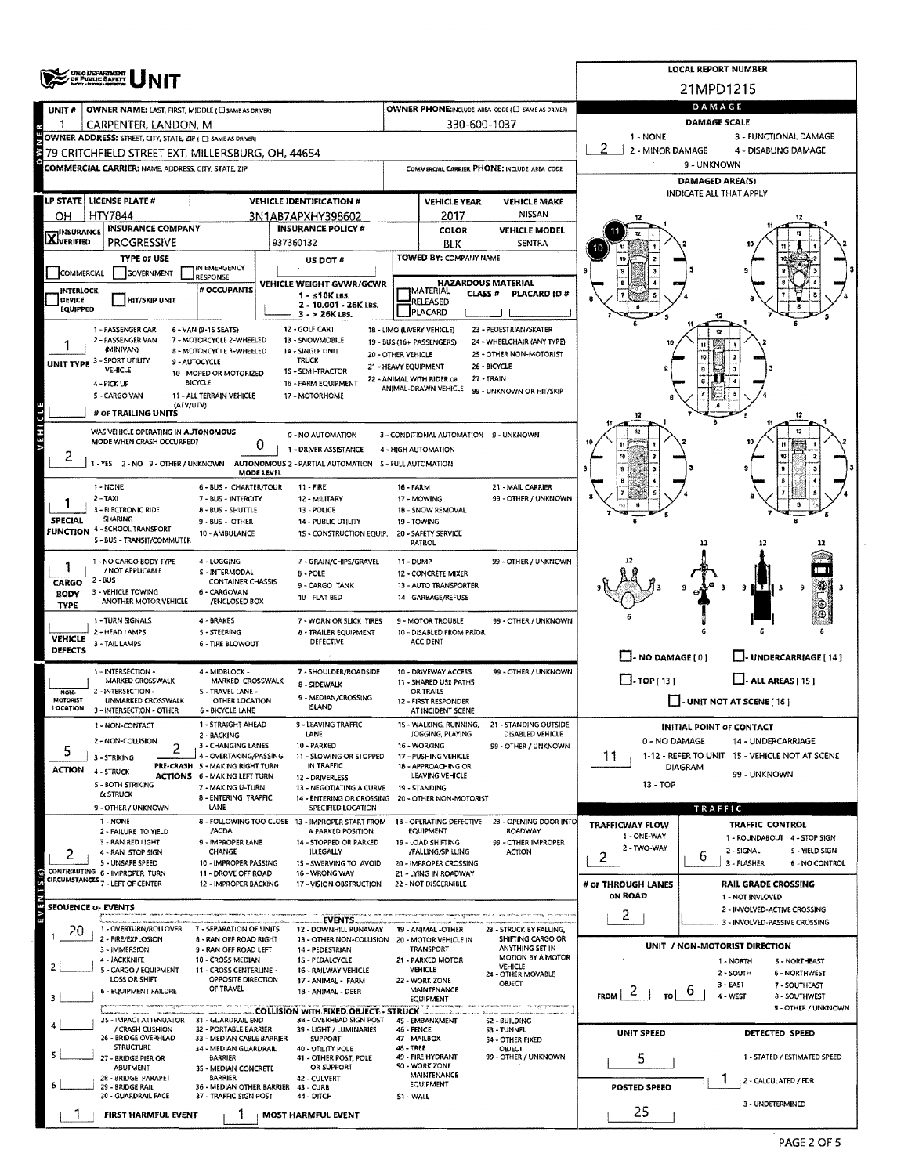|                                  | <b>CHOO DEPARTMENT</b><br>OF PUBLIC BAFETT                                                                                                                        |                                                                        | <b>LOCAL REPORT NUMBER</b>                                                               |                                                                                                                                                                                                                                                                                                                                                                                                                                                                                                                                                                                                                                                                                                                                                                                                                                                                                                                                                                                                                                                                                                                                                                                                                                                                                                                                                                                                                                                                                                                                                                                                                                                                                                                                                                                                                                                                                                                                                                                                                                                                                                                                                                                                                                                                                                                                                                                                                                                                                                                                 |                                     |                                                      |                            |                                                                |  |  |  |  |  |
|----------------------------------|-------------------------------------------------------------------------------------------------------------------------------------------------------------------|------------------------------------------------------------------------|------------------------------------------------------------------------------------------|---------------------------------------------------------------------------------------------------------------------------------------------------------------------------------------------------------------------------------------------------------------------------------------------------------------------------------------------------------------------------------------------------------------------------------------------------------------------------------------------------------------------------------------------------------------------------------------------------------------------------------------------------------------------------------------------------------------------------------------------------------------------------------------------------------------------------------------------------------------------------------------------------------------------------------------------------------------------------------------------------------------------------------------------------------------------------------------------------------------------------------------------------------------------------------------------------------------------------------------------------------------------------------------------------------------------------------------------------------------------------------------------------------------------------------------------------------------------------------------------------------------------------------------------------------------------------------------------------------------------------------------------------------------------------------------------------------------------------------------------------------------------------------------------------------------------------------------------------------------------------------------------------------------------------------------------------------------------------------------------------------------------------------------------------------------------------------------------------------------------------------------------------------------------------------------------------------------------------------------------------------------------------------------------------------------------------------------------------------------------------------------------------------------------------------------------------------------------------------------------------------------------------------|-------------------------------------|------------------------------------------------------|----------------------------|----------------------------------------------------------------|--|--|--|--|--|
|                                  |                                                                                                                                                                   |                                                                        |                                                                                          |                                                                                                                                                                                                                                                                                                                                                                                                                                                                                                                                                                                                                                                                                                                                                                                                                                                                                                                                                                                                                                                                                                                                                                                                                                                                                                                                                                                                                                                                                                                                                                                                                                                                                                                                                                                                                                                                                                                                                                                                                                                                                                                                                                                                                                                                                                                                                                                                                                                                                                                                 |                                     |                                                      |                            | 21MPD1215                                                      |  |  |  |  |  |
| UNIT#                            | OWNER NAME: LAST, FIRST, MIDDLE (C) SAME AS DRIVER)                                                                                                               |                                                                        |                                                                                          |                                                                                                                                                                                                                                                                                                                                                                                                                                                                                                                                                                                                                                                                                                                                                                                                                                                                                                                                                                                                                                                                                                                                                                                                                                                                                                                                                                                                                                                                                                                                                                                                                                                                                                                                                                                                                                                                                                                                                                                                                                                                                                                                                                                                                                                                                                                                                                                                                                                                                                                                 |                                     | OWNER PHONE:INCLUDE AREA CODE (E) SAME AS DRIVER)    | DAMAGE                     |                                                                |  |  |  |  |  |
| в                                | CARPENTER, LANDON, M                                                                                                                                              |                                                                        |                                                                                          |                                                                                                                                                                                                                                                                                                                                                                                                                                                                                                                                                                                                                                                                                                                                                                                                                                                                                                                                                                                                                                                                                                                                                                                                                                                                                                                                                                                                                                                                                                                                                                                                                                                                                                                                                                                                                                                                                                                                                                                                                                                                                                                                                                                                                                                                                                                                                                                                                                                                                                                                 | 330-600-1037                        |                                                      | <b>DAMAGE SCALE</b>        |                                                                |  |  |  |  |  |
|                                  | <b>OWNER ADDRESS:</b> STREET, CITY, STATE, ZIP (□ SAME AS DRIVER)<br>79 CRITCHFIELD STREET EXT, MILLERSBURG, OH, 44654                                            |                                                                        |                                                                                          |                                                                                                                                                                                                                                                                                                                                                                                                                                                                                                                                                                                                                                                                                                                                                                                                                                                                                                                                                                                                                                                                                                                                                                                                                                                                                                                                                                                                                                                                                                                                                                                                                                                                                                                                                                                                                                                                                                                                                                                                                                                                                                                                                                                                                                                                                                                                                                                                                                                                                                                                 |                                     |                                                      | 1 - NONE<br>2              | 3 - FUNCTIONAL DAMAGE<br>4 - DISABLING DAMAGE                  |  |  |  |  |  |
|                                  | <b>COMMERCIAL CARRIER: NAME, ADDRESS, CITY, STATE, ZIP</b>                                                                                                        |                                                                        |                                                                                          |                                                                                                                                                                                                                                                                                                                                                                                                                                                                                                                                                                                                                                                                                                                                                                                                                                                                                                                                                                                                                                                                                                                                                                                                                                                                                                                                                                                                                                                                                                                                                                                                                                                                                                                                                                                                                                                                                                                                                                                                                                                                                                                                                                                                                                                                                                                                                                                                                                                                                                                                 |                                     |                                                      |                            | 9 - UNKNOWN                                                    |  |  |  |  |  |
|                                  |                                                                                                                                                                   |                                                                        |                                                                                          |                                                                                                                                                                                                                                                                                                                                                                                                                                                                                                                                                                                                                                                                                                                                                                                                                                                                                                                                                                                                                                                                                                                                                                                                                                                                                                                                                                                                                                                                                                                                                                                                                                                                                                                                                                                                                                                                                                                                                                                                                                                                                                                                                                                                                                                                                                                                                                                                                                                                                                                                 |                                     |                                                      | <b>DAMAGED AREA(S)</b>     |                                                                |  |  |  |  |  |
|                                  | LP STATE LICENSE PLATE #                                                                                                                                          |                                                                        | <b>VEHICLE IDENTIFICATION #</b>                                                          |                                                                                                                                                                                                                                                                                                                                                                                                                                                                                                                                                                                                                                                                                                                                                                                                                                                                                                                                                                                                                                                                                                                                                                                                                                                                                                                                                                                                                                                                                                                                                                                                                                                                                                                                                                                                                                                                                                                                                                                                                                                                                                                                                                                                                                                                                                                                                                                                                                                                                                                                 | <b>VEHICLE YEAR</b>                 | <b>VEHICLE MAKE</b>                                  |                            |                                                                |  |  |  |  |  |
| OН                               | HTY7844                                                                                                                                                           |                                                                        | 3N1AB7APXHY398602                                                                        |                                                                                                                                                                                                                                                                                                                                                                                                                                                                                                                                                                                                                                                                                                                                                                                                                                                                                                                                                                                                                                                                                                                                                                                                                                                                                                                                                                                                                                                                                                                                                                                                                                                                                                                                                                                                                                                                                                                                                                                                                                                                                                                                                                                                                                                                                                                                                                                                                                                                                                                                 | 2017                                | NISSAN                                               |                            |                                                                |  |  |  |  |  |
| <b>X</b> WSURANCE                | <b>INSURANCE COMPANY</b>                                                                                                                                          |                                                                        | <b>INSURANCE POLICY #</b>                                                                |                                                                                                                                                                                                                                                                                                                                                                                                                                                                                                                                                                                                                                                                                                                                                                                                                                                                                                                                                                                                                                                                                                                                                                                                                                                                                                                                                                                                                                                                                                                                                                                                                                                                                                                                                                                                                                                                                                                                                                                                                                                                                                                                                                                                                                                                                                                                                                                                                                                                                                                                 | <b>COLOR</b>                        | <b>VEHICLE MODEL</b>                                 |                            |                                                                |  |  |  |  |  |
|                                  | <b>PROGRESSIVE</b><br><b>TYPE OF USE</b>                                                                                                                          |                                                                        | 937360132                                                                                |                                                                                                                                                                                                                                                                                                                                                                                                                                                                                                                                                                                                                                                                                                                                                                                                                                                                                                                                                                                                                                                                                                                                                                                                                                                                                                                                                                                                                                                                                                                                                                                                                                                                                                                                                                                                                                                                                                                                                                                                                                                                                                                                                                                                                                                                                                                                                                                                                                                                                                                                 |                                     |                                                      |                            |                                                                |  |  |  |  |  |
| <b>COMMERCIAL</b>                | <b>GOVERNMENT</b>                                                                                                                                                 | IN EMERGENCY<br>RESPONSE                                               | US DOT #                                                                                 |                                                                                                                                                                                                                                                                                                                                                                                                                                                                                                                                                                                                                                                                                                                                                                                                                                                                                                                                                                                                                                                                                                                                                                                                                                                                                                                                                                                                                                                                                                                                                                                                                                                                                                                                                                                                                                                                                                                                                                                                                                                                                                                                                                                                                                                                                                                                                                                                                                                                                                                                 |                                     |                                                      |                            |                                                                |  |  |  |  |  |
| <b>INTERLOCK</b>                 |                                                                                                                                                                   | # OCCUPANTS                                                            | VEHICLE WEIGHT GVWR/GCWR<br>$1 - s10K$ LBS.                                              |                                                                                                                                                                                                                                                                                                                                                                                                                                                                                                                                                                                                                                                                                                                                                                                                                                                                                                                                                                                                                                                                                                                                                                                                                                                                                                                                                                                                                                                                                                                                                                                                                                                                                                                                                                                                                                                                                                                                                                                                                                                                                                                                                                                                                                                                                                                                                                                                                                                                                                                                 |                                     |                                                      |                            |                                                                |  |  |  |  |  |
| <b>DEVICE</b><br><b>EQUIPPED</b> | <b>HIT/SKIP UNIT</b>                                                                                                                                              |                                                                        | 2 - 10.001 - 26K LBS.                                                                    |                                                                                                                                                                                                                                                                                                                                                                                                                                                                                                                                                                                                                                                                                                                                                                                                                                                                                                                                                                                                                                                                                                                                                                                                                                                                                                                                                                                                                                                                                                                                                                                                                                                                                                                                                                                                                                                                                                                                                                                                                                                                                                                                                                                                                                                                                                                                                                                                                                                                                                                                 |                                     |                                                      |                            |                                                                |  |  |  |  |  |
|                                  | 1 - PASSENGER CAR                                                                                                                                                 | 6 - VAN (9-1S SEATS)                                                   | $3 - 26K$ LBS.<br>12 - GOLF CART                                                         |                                                                                                                                                                                                                                                                                                                                                                                                                                                                                                                                                                                                                                                                                                                                                                                                                                                                                                                                                                                                                                                                                                                                                                                                                                                                                                                                                                                                                                                                                                                                                                                                                                                                                                                                                                                                                                                                                                                                                                                                                                                                                                                                                                                                                                                                                                                                                                                                                                                                                                                                 |                                     |                                                      |                            |                                                                |  |  |  |  |  |
|                                  | 2 - PASSENGER VAN<br>(MINIVAN)                                                                                                                                    | 7 - MOTORCYCLE 2-WHEELED                                               | 13 - SNOWMOBILE                                                                          |                                                                                                                                                                                                                                                                                                                                                                                                                                                                                                                                                                                                                                                                                                                                                                                                                                                                                                                                                                                                                                                                                                                                                                                                                                                                                                                                                                                                                                                                                                                                                                                                                                                                                                                                                                                                                                                                                                                                                                                                                                                                                                                                                                                                                                                                                                                                                                                                                                                                                                                                 |                                     |                                                      |                            |                                                                |  |  |  |  |  |
|                                  | UNIT TYPE 3 - SPORT UTILITY                                                                                                                                       | 8 - MOTORCYCLE 3-WHEELED<br>9 - AUTOCYCLE                              | 14 - SINGLE UNIT<br><b>TRUCK</b>                                                         |                                                                                                                                                                                                                                                                                                                                                                                                                                                                                                                                                                                                                                                                                                                                                                                                                                                                                                                                                                                                                                                                                                                                                                                                                                                                                                                                                                                                                                                                                                                                                                                                                                                                                                                                                                                                                                                                                                                                                                                                                                                                                                                                                                                                                                                                                                                                                                                                                                                                                                                                 |                                     |                                                      |                            |                                                                |  |  |  |  |  |
|                                  | <b>VEHICLE</b><br>15 - SEMI-TRACTOR<br>10 - MOPED OR MOTORIZED<br>27 - TRAIN<br>22 - ANIMAL WITH RIDER OR<br><b>BICYCLE</b><br>4 - PICK UP<br>16 - FARM EQUIPMENT |                                                                        |                                                                                          |                                                                                                                                                                                                                                                                                                                                                                                                                                                                                                                                                                                                                                                                                                                                                                                                                                                                                                                                                                                                                                                                                                                                                                                                                                                                                                                                                                                                                                                                                                                                                                                                                                                                                                                                                                                                                                                                                                                                                                                                                                                                                                                                                                                                                                                                                                                                                                                                                                                                                                                                 |                                     |                                                      |                            |                                                                |  |  |  |  |  |
|                                  | S - CARGO VAN                                                                                                                                                     | 11 - ALL TERRAIN VEHICLE                                               | 17 - MOTORHOME                                                                           |                                                                                                                                                                                                                                                                                                                                                                                                                                                                                                                                                                                                                                                                                                                                                                                                                                                                                                                                                                                                                                                                                                                                                                                                                                                                                                                                                                                                                                                                                                                                                                                                                                                                                                                                                                                                                                                                                                                                                                                                                                                                                                                                                                                                                                                                                                                                                                                                                                                                                                                                 |                                     |                                                      |                            |                                                                |  |  |  |  |  |
|                                  | (ATV/UTV)<br># OF TRAILING UNITS                                                                                                                                  |                                                                        |                                                                                          |                                                                                                                                                                                                                                                                                                                                                                                                                                                                                                                                                                                                                                                                                                                                                                                                                                                                                                                                                                                                                                                                                                                                                                                                                                                                                                                                                                                                                                                                                                                                                                                                                                                                                                                                                                                                                                                                                                                                                                                                                                                                                                                                                                                                                                                                                                                                                                                                                                                                                                                                 |                                     |                                                      |                            | 12                                                             |  |  |  |  |  |
| <b>VEHICLE</b>                   | WAS VEHICLE OPERATING IN AUTONOMOUS                                                                                                                               |                                                                        | 0 - NO AUTOMATION                                                                        |                                                                                                                                                                                                                                                                                                                                                                                                                                                                                                                                                                                                                                                                                                                                                                                                                                                                                                                                                                                                                                                                                                                                                                                                                                                                                                                                                                                                                                                                                                                                                                                                                                                                                                                                                                                                                                                                                                                                                                                                                                                                                                                                                                                                                                                                                                                                                                                                                                                                                                                                 |                                     |                                                      |                            | 12                                                             |  |  |  |  |  |
|                                  | MODE WHEN CRASH OCCURRED?                                                                                                                                         | 0                                                                      | 1 - DRIVER ASSISTANCE                                                                    |                                                                                                                                                                                                                                                                                                                                                                                                                                                                                                                                                                                                                                                                                                                                                                                                                                                                                                                                                                                                                                                                                                                                                                                                                                                                                                                                                                                                                                                                                                                                                                                                                                                                                                                                                                                                                                                                                                                                                                                                                                                                                                                                                                                                                                                                                                                                                                                                                                                                                                                                 |                                     |                                                      |                            |                                                                |  |  |  |  |  |
| 2                                |                                                                                                                                                                   | <b>MODE LEVEL</b>                                                      | 1 - YES 2 - NO 9 - OTHER / UNKNOWN AUTONOMOUS 2 - PARTIAL AUTOMATION S - FULL AUTOMATION |                                                                                                                                                                                                                                                                                                                                                                                                                                                                                                                                                                                                                                                                                                                                                                                                                                                                                                                                                                                                                                                                                                                                                                                                                                                                                                                                                                                                                                                                                                                                                                                                                                                                                                                                                                                                                                                                                                                                                                                                                                                                                                                                                                                                                                                                                                                                                                                                                                                                                                                                 |                                     |                                                      |                            |                                                                |  |  |  |  |  |
|                                  | 1 - NONE                                                                                                                                                          | 6 - BUS - CHARTER/TOUR                                                 | 11 - FIRE                                                                                | 2 - MINOR DAMAGE<br>COMMERCIAL CARRIER PHONE: INCLUDE AREA CODE<br>INDICATE ALL THAT APPLY<br>BLK<br><b>SENTRA</b><br>TOWED BY: COMPANY NAME<br><b>HAZARDOUS MATERIAL</b><br>MATERIAL<br><b>CLASS#</b><br>PLACARD ID#<br>RELEASED<br>PLACARD<br>23 - PEDESTRIAN/SKATER<br>18 - LIMO (LIVERY VEHICLE)<br>24 - WHEELCHAIR (ANY TYPE)<br>19 - BUS (16+ PASSENGERS)<br>25 - OTHER NON-MOTORIST<br>20 - OTHER VEHICLE<br>21 - HEAVY EQUIPMENT<br>26 - BICYCLE<br>ANIMAL-DRAWN VEHICLE<br>99 - UNKNOWN OR HIT/SKIP<br>3 - CONDITIONAL AUTOMATION 9 - UNKNOWN<br>4 - HIGH AUTOMATION<br>21 - MAIL CARRIER<br>16 - FARM<br>99 - OTHER / UNKNOWN<br>17 - MOWING<br>1B - SNOW REMOVAL<br>19 - TOWING<br>20 - SAFETY SERVICE<br><b>PATROL</b><br>12<br>12<br>99 - OTHER / UNKNOWN<br>11 - DUMP<br>12 - CONCRETE MIXER<br>13 - AUTO TRANSPORTER<br>9<br>9<br>88 F I<br>14 - GARBAGE/REFUSE<br>99 - OTHER / UNKNOWN<br>9 - MOTOR TROUBLE<br>10 - DISABLED FROM PRIOR<br><b>ACCIDENT</b><br>$\Box$ - NO DAMAGE [ 0 ]<br>U-UNDERCARRIAGE [ 14 ]<br>10 - DRIVEWAY ACCESS<br>99 - OTHER / UNKNOWN<br>$\Box$ -TOP[13]<br>$\Box$ - ALL AREAS [ 15 ]<br>11 - SHARED USE PATHS<br>OR TRAILS<br>- UNIT NOT AT SCENE [ 16 ]<br>12 - FIRST RESPONDER<br>AT INCIDENT SCENE<br>15 - WALKING, RUNNING,<br>21 - STANDING OUTSIDE<br><b>INITIAL POINT OF CONTACT</b><br>JOGGING, PLAYING<br>DISABLED VEHICLE<br>0 - NO DAMAGE<br>14 - UNDERCARRIAGE<br>16 - WORKING<br>99 - OTHER / UNKNOWN<br>1-12 - REFER TO UNIT 15 - VEHICLE NOT AT SCENE<br>11<br>17 - PUSHING VEHICLE<br>18 - APPROACHING OR<br><b>DIAGRAM</b><br>99 - UNKNOWN<br>LEAVING VEHICLE<br>$13 - TOP$<br>19 - STANDING<br>14 - ENTERING OR CROSSING 20 - OTHER NON-MOTORIST<br>TRAFFIC<br>18 - OPERATING DEFECTIVE<br>23 - OPENING DOOR INTO<br>TRAFFICWAY FLOW<br><b>TRAFFIC CONTROL</b><br><b>EQUIPMENT</b><br><b>ROADWAY</b><br>1 - ONE-WAY<br>1 - ROUNDABOUT 4 - STOP SIGN<br>99 - OTHER IMPROPER<br>19 - LOAD SHIFTING<br>2 - TWO-WAY<br>2 - SIGNAL<br>S - YIELD SIGN<br>/FALLING/SPILLING<br><b>ACTION</b><br>2<br>6<br>3 - FLASHER<br>20 - IMPROPER CROSSING<br>6 - NO CONTROL<br>21 - LYING IN ROADWAY<br>22 - NOT DISCERNIBLE<br># of THROUGH LANES<br><b>RAIL GRADE CROSSING</b><br><b>ON ROAD</b><br>1 - NOT INVLOVED<br>2 - INVOLVED-ACTIVE CROSSING<br>2<br>3 - INVOLVED-PASSIVE CROSSING<br>19 - ANIMAL - OTHER<br>23 - STRUCK BY FALLING,<br>SHIFTING CARGO OR<br>13 OTHER NON-COLLISION 20 MOTOR VEHICLE IN<br>UNIT / NON-MOTORIST DIRECTION<br>ANYTHING SET IN<br>TRANSPORT |                                     |                                                      |                            |                                                                |  |  |  |  |  |
|                                  | $2 - TAX$<br>3 - ELECTRONIC RIDE                                                                                                                                  | 7 - BUS - INTERCITY                                                    | 12 - MILITARY                                                                            |                                                                                                                                                                                                                                                                                                                                                                                                                                                                                                                                                                                                                                                                                                                                                                                                                                                                                                                                                                                                                                                                                                                                                                                                                                                                                                                                                                                                                                                                                                                                                                                                                                                                                                                                                                                                                                                                                                                                                                                                                                                                                                                                                                                                                                                                                                                                                                                                                                                                                                                                 |                                     |                                                      |                            |                                                                |  |  |  |  |  |
| <b>SPECIAL</b>                   | <b>SHARING</b>                                                                                                                                                    | 8 - BUS - SHUTTLE<br>9 - BUS - OTHER                                   | 13 - POLICE<br>14 - PUBLIC UTILITY                                                       |                                                                                                                                                                                                                                                                                                                                                                                                                                                                                                                                                                                                                                                                                                                                                                                                                                                                                                                                                                                                                                                                                                                                                                                                                                                                                                                                                                                                                                                                                                                                                                                                                                                                                                                                                                                                                                                                                                                                                                                                                                                                                                                                                                                                                                                                                                                                                                                                                                                                                                                                 |                                     |                                                      |                            |                                                                |  |  |  |  |  |
|                                  | <b>FUNCTION 4 - SCHOOL TRANSPORT</b><br>S - BUS - TRANSIT/COMMUTER                                                                                                | 10 - AMBULANCE                                                         | 15 - CONSTRUCTION EQUIP.                                                                 |                                                                                                                                                                                                                                                                                                                                                                                                                                                                                                                                                                                                                                                                                                                                                                                                                                                                                                                                                                                                                                                                                                                                                                                                                                                                                                                                                                                                                                                                                                                                                                                                                                                                                                                                                                                                                                                                                                                                                                                                                                                                                                                                                                                                                                                                                                                                                                                                                                                                                                                                 |                                     |                                                      |                            |                                                                |  |  |  |  |  |
|                                  | 1 - NO CARGO BODY TYPE                                                                                                                                            | 4 - LOGGING                                                            | 7 - GRAIN/CHIPS/GRAVEL                                                                   |                                                                                                                                                                                                                                                                                                                                                                                                                                                                                                                                                                                                                                                                                                                                                                                                                                                                                                                                                                                                                                                                                                                                                                                                                                                                                                                                                                                                                                                                                                                                                                                                                                                                                                                                                                                                                                                                                                                                                                                                                                                                                                                                                                                                                                                                                                                                                                                                                                                                                                                                 |                                     |                                                      |                            |                                                                |  |  |  |  |  |
|                                  | / NOT APPLICABLE                                                                                                                                                  | S - INTERMODAL                                                         | <b>B-POLE</b>                                                                            |                                                                                                                                                                                                                                                                                                                                                                                                                                                                                                                                                                                                                                                                                                                                                                                                                                                                                                                                                                                                                                                                                                                                                                                                                                                                                                                                                                                                                                                                                                                                                                                                                                                                                                                                                                                                                                                                                                                                                                                                                                                                                                                                                                                                                                                                                                                                                                                                                                                                                                                                 |                                     |                                                      |                            |                                                                |  |  |  |  |  |
| CARGO<br><b>BODY</b>             | 2 - BUS<br>3 - VEHICLE TOWING                                                                                                                                     | <b>CONTAINER CHASSIS</b><br>6 - CARGOVAN                               | 9 - CARGO TANK                                                                           |                                                                                                                                                                                                                                                                                                                                                                                                                                                                                                                                                                                                                                                                                                                                                                                                                                                                                                                                                                                                                                                                                                                                                                                                                                                                                                                                                                                                                                                                                                                                                                                                                                                                                                                                                                                                                                                                                                                                                                                                                                                                                                                                                                                                                                                                                                                                                                                                                                                                                                                                 |                                     |                                                      |                            |                                                                |  |  |  |  |  |
| <b>TYPE</b>                      | ANOTHER MOTOR VEHICLE                                                                                                                                             | /ENCLOSED BOX                                                          | 10 - FLAT BED                                                                            |                                                                                                                                                                                                                                                                                                                                                                                                                                                                                                                                                                                                                                                                                                                                                                                                                                                                                                                                                                                                                                                                                                                                                                                                                                                                                                                                                                                                                                                                                                                                                                                                                                                                                                                                                                                                                                                                                                                                                                                                                                                                                                                                                                                                                                                                                                                                                                                                                                                                                                                                 |                                     |                                                      |                            |                                                                |  |  |  |  |  |
|                                  | 1 - TURN SIGNALS<br>2 - HEAD LAMPS                                                                                                                                | 4 - BRAKES<br>S - STEERING                                             | 7 - WORN OR SLICK TIRES<br>8 - TRAILER EQUIPMENT                                         |                                                                                                                                                                                                                                                                                                                                                                                                                                                                                                                                                                                                                                                                                                                                                                                                                                                                                                                                                                                                                                                                                                                                                                                                                                                                                                                                                                                                                                                                                                                                                                                                                                                                                                                                                                                                                                                                                                                                                                                                                                                                                                                                                                                                                                                                                                                                                                                                                                                                                                                                 |                                     |                                                      |                            |                                                                |  |  |  |  |  |
| <b>VEHICLE</b><br>DEFECTS        | 3 - TAIL LAMPS                                                                                                                                                    | 6 - TIRE BLOWOUT                                                       | DEFECTIVE                                                                                |                                                                                                                                                                                                                                                                                                                                                                                                                                                                                                                                                                                                                                                                                                                                                                                                                                                                                                                                                                                                                                                                                                                                                                                                                                                                                                                                                                                                                                                                                                                                                                                                                                                                                                                                                                                                                                                                                                                                                                                                                                                                                                                                                                                                                                                                                                                                                                                                                                                                                                                                 |                                     |                                                      |                            |                                                                |  |  |  |  |  |
|                                  |                                                                                                                                                                   |                                                                        |                                                                                          |                                                                                                                                                                                                                                                                                                                                                                                                                                                                                                                                                                                                                                                                                                                                                                                                                                                                                                                                                                                                                                                                                                                                                                                                                                                                                                                                                                                                                                                                                                                                                                                                                                                                                                                                                                                                                                                                                                                                                                                                                                                                                                                                                                                                                                                                                                                                                                                                                                                                                                                                 |                                     |                                                      |                            |                                                                |  |  |  |  |  |
|                                  | 1 - INTERSECTION -<br>MARKED CROSSWALK                                                                                                                            | 4 - MIDBLOCK -<br>MARKED CROSSWALK                                     | 7 - SHOULDER/ROADSIDE<br>8 - SIDEWALK                                                    |                                                                                                                                                                                                                                                                                                                                                                                                                                                                                                                                                                                                                                                                                                                                                                                                                                                                                                                                                                                                                                                                                                                                                                                                                                                                                                                                                                                                                                                                                                                                                                                                                                                                                                                                                                                                                                                                                                                                                                                                                                                                                                                                                                                                                                                                                                                                                                                                                                                                                                                                 |                                     |                                                      |                            |                                                                |  |  |  |  |  |
| NON-<br>NOTORIST                 | 2 - INTERSECTION -<br>UNMARKED CROSSWALK                                                                                                                          | S - TRAVEL LANE -<br>OTHER LOCATION                                    | 9 - MEDIAN/CROSSING                                                                      |                                                                                                                                                                                                                                                                                                                                                                                                                                                                                                                                                                                                                                                                                                                                                                                                                                                                                                                                                                                                                                                                                                                                                                                                                                                                                                                                                                                                                                                                                                                                                                                                                                                                                                                                                                                                                                                                                                                                                                                                                                                                                                                                                                                                                                                                                                                                                                                                                                                                                                                                 |                                     |                                                      |                            |                                                                |  |  |  |  |  |
| LOCATION                         | 3 - INTERSECTION - OTHER                                                                                                                                          | <b>6 - BICYCLE LANE</b>                                                | ISLAND                                                                                   |                                                                                                                                                                                                                                                                                                                                                                                                                                                                                                                                                                                                                                                                                                                                                                                                                                                                                                                                                                                                                                                                                                                                                                                                                                                                                                                                                                                                                                                                                                                                                                                                                                                                                                                                                                                                                                                                                                                                                                                                                                                                                                                                                                                                                                                                                                                                                                                                                                                                                                                                 |                                     |                                                      |                            |                                                                |  |  |  |  |  |
|                                  | 1 - NON-CONTACT<br>2 - NON-COLLISION                                                                                                                              | 1 - STRAIGHT AHEAD<br>2 - BACKING                                      | 9 - LEAVING TRAFFIC<br>LANE                                                              |                                                                                                                                                                                                                                                                                                                                                                                                                                                                                                                                                                                                                                                                                                                                                                                                                                                                                                                                                                                                                                                                                                                                                                                                                                                                                                                                                                                                                                                                                                                                                                                                                                                                                                                                                                                                                                                                                                                                                                                                                                                                                                                                                                                                                                                                                                                                                                                                                                                                                                                                 |                                     |                                                      |                            |                                                                |  |  |  |  |  |
| 5                                | 3 - STRIKING                                                                                                                                                      | 3 - CHANGING LANES<br>4 - OVERTAKING/PASSING                           | 10 - PARKED<br>11 - SLOWING OR STOPPED                                                   |                                                                                                                                                                                                                                                                                                                                                                                                                                                                                                                                                                                                                                                                                                                                                                                                                                                                                                                                                                                                                                                                                                                                                                                                                                                                                                                                                                                                                                                                                                                                                                                                                                                                                                                                                                                                                                                                                                                                                                                                                                                                                                                                                                                                                                                                                                                                                                                                                                                                                                                                 |                                     |                                                      |                            |                                                                |  |  |  |  |  |
| <b>ACTION</b>                    | 4 - STRUCK                                                                                                                                                        | PRE-CRASH 5 - MAKING RIGHT TURN<br><b>ACTIONS 6 - MAKING LEFT TURN</b> | IN TRAFFIC                                                                               |                                                                                                                                                                                                                                                                                                                                                                                                                                                                                                                                                                                                                                                                                                                                                                                                                                                                                                                                                                                                                                                                                                                                                                                                                                                                                                                                                                                                                                                                                                                                                                                                                                                                                                                                                                                                                                                                                                                                                                                                                                                                                                                                                                                                                                                                                                                                                                                                                                                                                                                                 |                                     |                                                      |                            |                                                                |  |  |  |  |  |
|                                  | <b>S - BOTH STRIKING</b>                                                                                                                                          | 7 - MAKING U-TURN                                                      | 12 - DRIVERLESS<br>13 - NEGOTIATING A CURVE                                              |                                                                                                                                                                                                                                                                                                                                                                                                                                                                                                                                                                                                                                                                                                                                                                                                                                                                                                                                                                                                                                                                                                                                                                                                                                                                                                                                                                                                                                                                                                                                                                                                                                                                                                                                                                                                                                                                                                                                                                                                                                                                                                                                                                                                                                                                                                                                                                                                                                                                                                                                 |                                     |                                                      |                            |                                                                |  |  |  |  |  |
|                                  | & STRUCK<br>9 - OTHER / UNKNOWN                                                                                                                                   | <b>8 - ENTERING TRAFFIC</b><br>LANE                                    | SPECIFIED LOCATION                                                                       |                                                                                                                                                                                                                                                                                                                                                                                                                                                                                                                                                                                                                                                                                                                                                                                                                                                                                                                                                                                                                                                                                                                                                                                                                                                                                                                                                                                                                                                                                                                                                                                                                                                                                                                                                                                                                                                                                                                                                                                                                                                                                                                                                                                                                                                                                                                                                                                                                                                                                                                                 |                                     |                                                      |                            |                                                                |  |  |  |  |  |
|                                  | 1 - NONE                                                                                                                                                          |                                                                        | 8 - FOLLOWING TOO CLOSE 13 - IMPROPER START FROM                                         |                                                                                                                                                                                                                                                                                                                                                                                                                                                                                                                                                                                                                                                                                                                                                                                                                                                                                                                                                                                                                                                                                                                                                                                                                                                                                                                                                                                                                                                                                                                                                                                                                                                                                                                                                                                                                                                                                                                                                                                                                                                                                                                                                                                                                                                                                                                                                                                                                                                                                                                                 |                                     |                                                      |                            |                                                                |  |  |  |  |  |
|                                  | 2 - FAILURE TO YIELD<br>3 - RAN RED LIGHT                                                                                                                         | /ACDA<br>9 - IMPROPER LANE                                             | A PARKED POSITION<br>14 - STOPPED OR PARKED                                              |                                                                                                                                                                                                                                                                                                                                                                                                                                                                                                                                                                                                                                                                                                                                                                                                                                                                                                                                                                                                                                                                                                                                                                                                                                                                                                                                                                                                                                                                                                                                                                                                                                                                                                                                                                                                                                                                                                                                                                                                                                                                                                                                                                                                                                                                                                                                                                                                                                                                                                                                 |                                     |                                                      |                            |                                                                |  |  |  |  |  |
|                                  | 4 - RAN STOP SIGN<br>5 - UNSAFE SPEED                                                                                                                             | CHANGE<br>10 - IMPROPER PASSING                                        | ILLEGALLY<br>15 - SWERVING TO AVOID                                                      |                                                                                                                                                                                                                                                                                                                                                                                                                                                                                                                                                                                                                                                                                                                                                                                                                                                                                                                                                                                                                                                                                                                                                                                                                                                                                                                                                                                                                                                                                                                                                                                                                                                                                                                                                                                                                                                                                                                                                                                                                                                                                                                                                                                                                                                                                                                                                                                                                                                                                                                                 |                                     |                                                      |                            |                                                                |  |  |  |  |  |
|                                  | CONTRIBUTING 6 - IMPROPER TURN<br>CIRCUMSTANCES <sub>7</sub> - LEFT OF CENTER                                                                                     | 11 - DROVE OFF ROAD                                                    | 16 - WRONG WAY                                                                           |                                                                                                                                                                                                                                                                                                                                                                                                                                                                                                                                                                                                                                                                                                                                                                                                                                                                                                                                                                                                                                                                                                                                                                                                                                                                                                                                                                                                                                                                                                                                                                                                                                                                                                                                                                                                                                                                                                                                                                                                                                                                                                                                                                                                                                                                                                                                                                                                                                                                                                                                 |                                     |                                                      |                            |                                                                |  |  |  |  |  |
|                                  |                                                                                                                                                                   | 12 - IMPROPER BACKING                                                  | 17 - VISION OBSTRUCTION                                                                  |                                                                                                                                                                                                                                                                                                                                                                                                                                                                                                                                                                                                                                                                                                                                                                                                                                                                                                                                                                                                                                                                                                                                                                                                                                                                                                                                                                                                                                                                                                                                                                                                                                                                                                                                                                                                                                                                                                                                                                                                                                                                                                                                                                                                                                                                                                                                                                                                                                                                                                                                 |                                     |                                                      |                            |                                                                |  |  |  |  |  |
| <b>SEOUENCE OF EVENTS</b>        |                                                                                                                                                                   |                                                                        |                                                                                          |                                                                                                                                                                                                                                                                                                                                                                                                                                                                                                                                                                                                                                                                                                                                                                                                                                                                                                                                                                                                                                                                                                                                                                                                                                                                                                                                                                                                                                                                                                                                                                                                                                                                                                                                                                                                                                                                                                                                                                                                                                                                                                                                                                                                                                                                                                                                                                                                                                                                                                                                 |                                     |                                                      |                            |                                                                |  |  |  |  |  |
| 20                               | 1 - OVERTURN/ROLLOVER                                                                                                                                             | 7 - SEPARATION OF UNITS                                                | EVENTS.<br>12 - DOWNHILL RUNAWAY                                                         |                                                                                                                                                                                                                                                                                                                                                                                                                                                                                                                                                                                                                                                                                                                                                                                                                                                                                                                                                                                                                                                                                                                                                                                                                                                                                                                                                                                                                                                                                                                                                                                                                                                                                                                                                                                                                                                                                                                                                                                                                                                                                                                                                                                                                                                                                                                                                                                                                                                                                                                                 |                                     |                                                      |                            |                                                                |  |  |  |  |  |
|                                  | 2 - FIRE/EXPLOSION<br>3 - IMMERSION                                                                                                                               | 8 - RAN OFF ROAD RIGHT<br>9 - RAN OFF ROAD LEFT                        | 14 - PEDESTRIAN                                                                          |                                                                                                                                                                                                                                                                                                                                                                                                                                                                                                                                                                                                                                                                                                                                                                                                                                                                                                                                                                                                                                                                                                                                                                                                                                                                                                                                                                                                                                                                                                                                                                                                                                                                                                                                                                                                                                                                                                                                                                                                                                                                                                                                                                                                                                                                                                                                                                                                                                                                                                                                 |                                     |                                                      |                            |                                                                |  |  |  |  |  |
| 2                                | 4 - JACKKNIFE                                                                                                                                                     | 10 - CROSS MEDIAN                                                      | 15 - PEDALCYCLE                                                                          |                                                                                                                                                                                                                                                                                                                                                                                                                                                                                                                                                                                                                                                                                                                                                                                                                                                                                                                                                                                                                                                                                                                                                                                                                                                                                                                                                                                                                                                                                                                                                                                                                                                                                                                                                                                                                                                                                                                                                                                                                                                                                                                                                                                                                                                                                                                                                                                                                                                                                                                                 | 21 - PARKED MOTOR                   | MOTION BY A MOTOR<br><b>VEHICLE</b>                  |                            | 1 - NORTH<br>S-NORTHEAST                                       |  |  |  |  |  |
|                                  | 5 - CARGO / EQUIPMENT<br>LOSS OR SHIFT                                                                                                                            | 11 - CROSS CENTERLINE -<br>OPPOSITE DIRECTION                          | 16 - RAILWAY VEHICLE<br>17 - ANIMAL - FARM                                               |                                                                                                                                                                                                                                                                                                                                                                                                                                                                                                                                                                                                                                                                                                                                                                                                                                                                                                                                                                                                                                                                                                                                                                                                                                                                                                                                                                                                                                                                                                                                                                                                                                                                                                                                                                                                                                                                                                                                                                                                                                                                                                                                                                                                                                                                                                                                                                                                                                                                                                                                 | <b>VEHICLE</b><br>22 - WORK ZONE    | 24 - OTHER MOVABLE<br>OBJECT                         |                            | $2 - SOLUTION$<br>6 - NORTHWEST<br>$3 - EAST$<br>7 - SOUTHEAST |  |  |  |  |  |
| з                                | 6 - EQUIPMENT FAILURE                                                                                                                                             | OF TRAVEL                                                              | 18 - ANIMAL - DEER                                                                       |                                                                                                                                                                                                                                                                                                                                                                                                                                                                                                                                                                                                                                                                                                                                                                                                                                                                                                                                                                                                                                                                                                                                                                                                                                                                                                                                                                                                                                                                                                                                                                                                                                                                                                                                                                                                                                                                                                                                                                                                                                                                                                                                                                                                                                                                                                                                                                                                                                                                                                                                 | MAINTENANCE<br><b>EQUIPMENT</b>     |                                                      | $\mathbf{z}$<br>FROM<br>TO | $\sigma$<br>4 - WEST<br>8 - SOUTHWEST                          |  |  |  |  |  |
|                                  | 25 - IMPACT ATTENUATOR                                                                                                                                            | 31 - GUARDRAIL END                                                     | . COLLISION WITH FIXED OBJECT - STRUCK<br>38 - OVERHEAD SIGN POST                        |                                                                                                                                                                                                                                                                                                                                                                                                                                                                                                                                                                                                                                                                                                                                                                                                                                                                                                                                                                                                                                                                                                                                                                                                                                                                                                                                                                                                                                                                                                                                                                                                                                                                                                                                                                                                                                                                                                                                                                                                                                                                                                                                                                                                                                                                                                                                                                                                                                                                                                                                 | 45 - EMBANKMENT                     | <b>Contract Experimental</b><br><b>S2 - BUILDING</b> |                            | 9 - OTHER / UNKNOWN                                            |  |  |  |  |  |
|                                  | / CRASH CUSHION<br>26 - BRIDGE OVERHEAD                                                                                                                           | 32 - PORTABLE BARRIER<br>33 - MEDIAN CABLE BARRIER                     | 39 - LIGHT / LUMINARIES<br><b>SUPPORT</b>                                                | 46 - FENCE                                                                                                                                                                                                                                                                                                                                                                                                                                                                                                                                                                                                                                                                                                                                                                                                                                                                                                                                                                                                                                                                                                                                                                                                                                                                                                                                                                                                                                                                                                                                                                                                                                                                                                                                                                                                                                                                                                                                                                                                                                                                                                                                                                                                                                                                                                                                                                                                                                                                                                                      | 47 - MAILBOX                        | 53 - TUNNEL<br><b>S4 - OTHER FIXED</b>               | <b>UNIT SPEED</b>          | DETECTED SPEED                                                 |  |  |  |  |  |
|                                  | <b>STRUCTURE</b>                                                                                                                                                  | 34 - MEDIAN GUARDRAIL                                                  | 40 - UTILITY POLE                                                                        | 48 - TREE                                                                                                                                                                                                                                                                                                                                                                                                                                                                                                                                                                                                                                                                                                                                                                                                                                                                                                                                                                                                                                                                                                                                                                                                                                                                                                                                                                                                                                                                                                                                                                                                                                                                                                                                                                                                                                                                                                                                                                                                                                                                                                                                                                                                                                                                                                                                                                                                                                                                                                                       |                                     | OBJECT                                               |                            |                                                                |  |  |  |  |  |
|                                  | 27 - BRIDGE PIER OR<br>ABUTMENT                                                                                                                                   | <b>BARRIER</b><br>35 - MEDIAN CONCRETE                                 | 41 - OTHER POST, POLE<br>OR SUPPORT                                                      |                                                                                                                                                                                                                                                                                                                                                                                                                                                                                                                                                                                                                                                                                                                                                                                                                                                                                                                                                                                                                                                                                                                                                                                                                                                                                                                                                                                                                                                                                                                                                                                                                                                                                                                                                                                                                                                                                                                                                                                                                                                                                                                                                                                                                                                                                                                                                                                                                                                                                                                                 | 49 - FIRE HYDRANT<br>SO - WORK ZONE | 99 - OTHER / UNKNOWN                                 | 5                          | 1 - STATED / ESTIMATED SPEED                                   |  |  |  |  |  |
|                                  | 28 - 8RIDGE PARAPET<br>29 - BRIDGE RAIL                                                                                                                           | <b>BARRIER</b><br>36 - MEDIAN OTHER BARRIER 43 - CURB                  | 42 - CULVERT                                                                             |                                                                                                                                                                                                                                                                                                                                                                                                                                                                                                                                                                                                                                                                                                                                                                                                                                                                                                                                                                                                                                                                                                                                                                                                                                                                                                                                                                                                                                                                                                                                                                                                                                                                                                                                                                                                                                                                                                                                                                                                                                                                                                                                                                                                                                                                                                                                                                                                                                                                                                                                 | MAINTENANCE<br>EQUIPMENT            |                                                      | POSTED SPEED               | Ŧ.<br>  2 - CALCULATED / EDR                                   |  |  |  |  |  |
|                                  | 30 - GUARDRAIL FACE                                                                                                                                               | 37 - TRAFFIC SIGN POST                                                 | 44 - DITCH                                                                               | 51 - WALL                                                                                                                                                                                                                                                                                                                                                                                                                                                                                                                                                                                                                                                                                                                                                                                                                                                                                                                                                                                                                                                                                                                                                                                                                                                                                                                                                                                                                                                                                                                                                                                                                                                                                                                                                                                                                                                                                                                                                                                                                                                                                                                                                                                                                                                                                                                                                                                                                                                                                                                       |                                     |                                                      |                            | 3 - UNDETERMINED                                               |  |  |  |  |  |
|                                  | <b>FIRST HARMFUL EVENT</b>                                                                                                                                        |                                                                        | <b>MOST HARMFUL EVENT</b>                                                                |                                                                                                                                                                                                                                                                                                                                                                                                                                                                                                                                                                                                                                                                                                                                                                                                                                                                                                                                                                                                                                                                                                                                                                                                                                                                                                                                                                                                                                                                                                                                                                                                                                                                                                                                                                                                                                                                                                                                                                                                                                                                                                                                                                                                                                                                                                                                                                                                                                                                                                                                 |                                     |                                                      | 25                         |                                                                |  |  |  |  |  |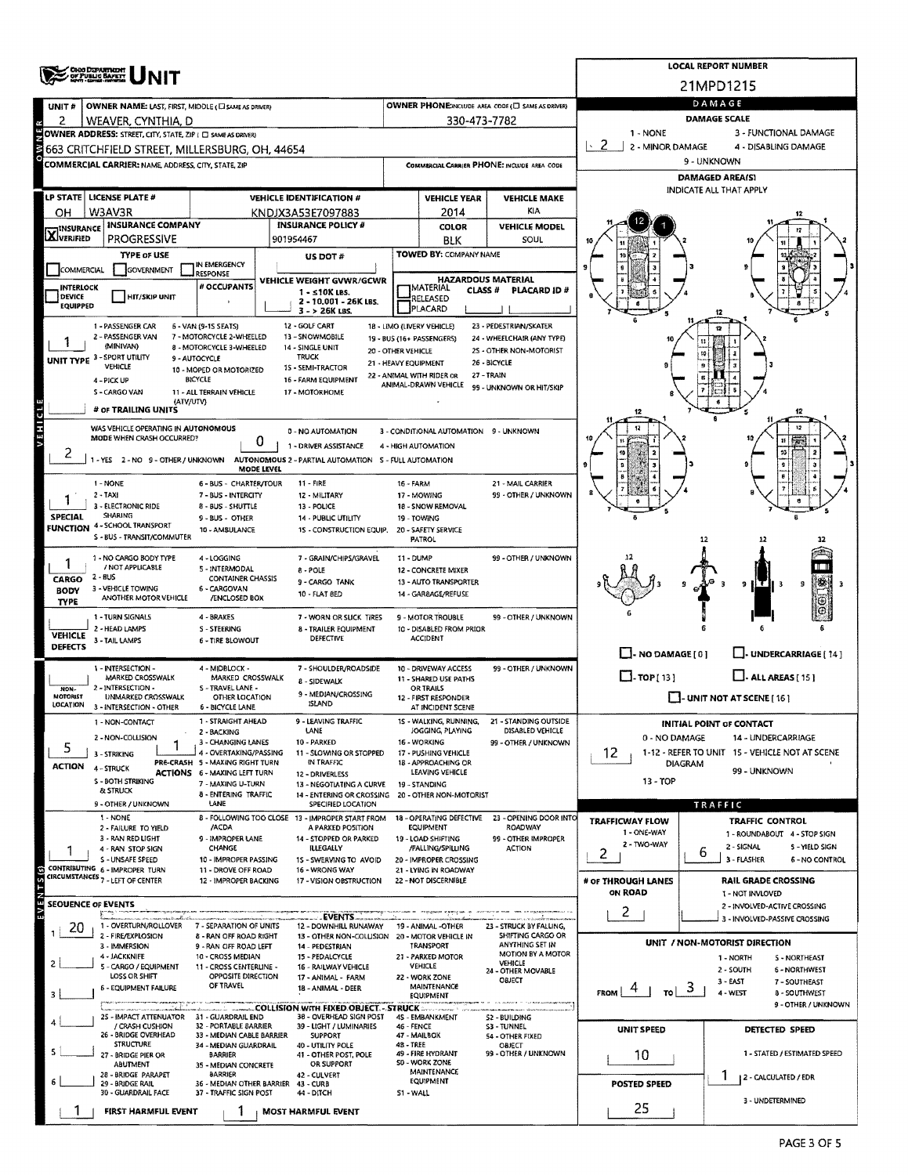|                             | <b>CHO DEPARTMENT</b><br>OF PUBLIC BAPETY                        |                                                                                                                                                                                                                                                                                                                                                                                                                                                                                                                                                                                                                                                                                                                                                                                                                                                                                                                                                                                                                                                                                                                                                                                                                                                                                                                                                                                                                                                                                                                                                                                                                                                                                                                                                                                                                                                                                                                                                                                                                                                                                                                                                                                                                                                                                                                                                                                                                                                                                                                                                                                                                                                                                                                                                                                                                                                                                                                                                                                                                                                                                                                                                                                                                                                                                                                                                                                                                                                                                                                                                                                                                                                                                                                                                                                                                                                                                                                                                                                                                                                                                                                                                                                                                                                                                                                                                                                                                                                                                                                                                                                                                                                                                                                                                                                                                                                                                                                                                                                                                                                                                                                                                                                                                                                                                                                                                                                                                                                                                                                                                                                                                                                                                    | <b>LOCAL REPORT NUMBER</b> |                                     |                                                                                                                                                                                                                                                                                                                                                                  |                     |                     |           |                      |  |  |  |  |
|-----------------------------|------------------------------------------------------------------|------------------------------------------------------------------------------------------------------------------------------------------------------------------------------------------------------------------------------------------------------------------------------------------------------------------------------------------------------------------------------------------------------------------------------------------------------------------------------------------------------------------------------------------------------------------------------------------------------------------------------------------------------------------------------------------------------------------------------------------------------------------------------------------------------------------------------------------------------------------------------------------------------------------------------------------------------------------------------------------------------------------------------------------------------------------------------------------------------------------------------------------------------------------------------------------------------------------------------------------------------------------------------------------------------------------------------------------------------------------------------------------------------------------------------------------------------------------------------------------------------------------------------------------------------------------------------------------------------------------------------------------------------------------------------------------------------------------------------------------------------------------------------------------------------------------------------------------------------------------------------------------------------------------------------------------------------------------------------------------------------------------------------------------------------------------------------------------------------------------------------------------------------------------------------------------------------------------------------------------------------------------------------------------------------------------------------------------------------------------------------------------------------------------------------------------------------------------------------------------------------------------------------------------------------------------------------------------------------------------------------------------------------------------------------------------------------------------------------------------------------------------------------------------------------------------------------------------------------------------------------------------------------------------------------------------------------------------------------------------------------------------------------------------------------------------------------------------------------------------------------------------------------------------------------------------------------------------------------------------------------------------------------------------------------------------------------------------------------------------------------------------------------------------------------------------------------------------------------------------------------------------------------------------------------------------------------------------------------------------------------------------------------------------------------------------------------------------------------------------------------------------------------------------------------------------------------------------------------------------------------------------------------------------------------------------------------------------------------------------------------------------------------------------------------------------------------------------------------------------------------------------------------------------------------------------------------------------------------------------------------------------------------------------------------------------------------------------------------------------------------------------------------------------------------------------------------------------------------------------------------------------------------------------------------------------------------------------------------------------------------------------------------------------------------------------------------------------------------------------------------------------------------------------------------------------------------------------------------------------------------------------------------------------------------------------------------------------------------------------------------------------------------------------------------------------------------------------------------------------------------------------------------------------------------------------------------------------------------------------------------------------------------------------------------------------------------------------------------------------------------------------------------------------------------------------------------------------------------------------------------------------------------------------------------------------------------------------------------------------------------------------------------------------------------------|----------------------------|-------------------------------------|------------------------------------------------------------------------------------------------------------------------------------------------------------------------------------------------------------------------------------------------------------------------------------------------------------------------------------------------------------------|---------------------|---------------------|-----------|----------------------|--|--|--|--|
|                             |                                                                  |                                                                                                                                                                                                                                                                                                                                                                                                                                                                                                                                                                                                                                                                                                                                                                                                                                                                                                                                                                                                                                                                                                                                                                                                                                                                                                                                                                                                                                                                                                                                                                                                                                                                                                                                                                                                                                                                                                                                                                                                                                                                                                                                                                                                                                                                                                                                                                                                                                                                                                                                                                                                                                                                                                                                                                                                                                                                                                                                                                                                                                                                                                                                                                                                                                                                                                                                                                                                                                                                                                                                                                                                                                                                                                                                                                                                                                                                                                                                                                                                                                                                                                                                                                                                                                                                                                                                                                                                                                                                                                                                                                                                                                                                                                                                                                                                                                                                                                                                                                                                                                                                                                                                                                                                                                                                                                                                                                                                                                                                                                                                                                                                                                                                                    |                            |                                     |                                                                                                                                                                                                                                                                                                                                                                  |                     |                     |           |                      |  |  |  |  |
| UNIT#                       |                                                                  |                                                                                                                                                                                                                                                                                                                                                                                                                                                                                                                                                                                                                                                                                                                                                                                                                                                                                                                                                                                                                                                                                                                                                                                                                                                                                                                                                                                                                                                                                                                                                                                                                                                                                                                                                                                                                                                                                                                                                                                                                                                                                                                                                                                                                                                                                                                                                                                                                                                                                                                                                                                                                                                                                                                                                                                                                                                                                                                                                                                                                                                                                                                                                                                                                                                                                                                                                                                                                                                                                                                                                                                                                                                                                                                                                                                                                                                                                                                                                                                                                                                                                                                                                                                                                                                                                                                                                                                                                                                                                                                                                                                                                                                                                                                                                                                                                                                                                                                                                                                                                                                                                                                                                                                                                                                                                                                                                                                                                                                                                                                                                                                                                                                                                    |                            |                                     |                                                                                                                                                                                                                                                                                                                                                                  |                     |                     |           | DAMAGE               |  |  |  |  |
| 2                           | WEAVER, CYNTHIA, D                                               |                                                                                                                                                                                                                                                                                                                                                                                                                                                                                                                                                                                                                                                                                                                                                                                                                                                                                                                                                                                                                                                                                                                                                                                                                                                                                                                                                                                                                                                                                                                                                                                                                                                                                                                                                                                                                                                                                                                                                                                                                                                                                                                                                                                                                                                                                                                                                                                                                                                                                                                                                                                                                                                                                                                                                                                                                                                                                                                                                                                                                                                                                                                                                                                                                                                                                                                                                                                                                                                                                                                                                                                                                                                                                                                                                                                                                                                                                                                                                                                                                                                                                                                                                                                                                                                                                                                                                                                                                                                                                                                                                                                                                                                                                                                                                                                                                                                                                                                                                                                                                                                                                                                                                                                                                                                                                                                                                                                                                                                                                                                                                                                                                                                                                    |                            |                                     |                                                                                                                                                                                                                                                                                                                                                                  |                     |                     |           |                      |  |  |  |  |
|                             |                                                                  |                                                                                                                                                                                                                                                                                                                                                                                                                                                                                                                                                                                                                                                                                                                                                                                                                                                                                                                                                                                                                                                                                                                                                                                                                                                                                                                                                                                                                                                                                                                                                                                                                                                                                                                                                                                                                                                                                                                                                                                                                                                                                                                                                                                                                                                                                                                                                                                                                                                                                                                                                                                                                                                                                                                                                                                                                                                                                                                                                                                                                                                                                                                                                                                                                                                                                                                                                                                                                                                                                                                                                                                                                                                                                                                                                                                                                                                                                                                                                                                                                                                                                                                                                                                                                                                                                                                                                                                                                                                                                                                                                                                                                                                                                                                                                                                                                                                                                                                                                                                                                                                                                                                                                                                                                                                                                                                                                                                                                                                                                                                                                                                                                                                                                    |                            |                                     |                                                                                                                                                                                                                                                                                                                                                                  |                     |                     | $\sim$ 2. | 4 - DISABLING DAMAGE |  |  |  |  |
|                             | <b>COMMERCIAL CARRIER: NAME, ADDRESS, CITY, STATE, ZIP</b>       |                                                                                                                                                                                                                                                                                                                                                                                                                                                                                                                                                                                                                                                                                                                                                                                                                                                                                                                                                                                                                                                                                                                                                                                                                                                                                                                                                                                                                                                                                                                                                                                                                                                                                                                                                                                                                                                                                                                                                                                                                                                                                                                                                                                                                                                                                                                                                                                                                                                                                                                                                                                                                                                                                                                                                                                                                                                                                                                                                                                                                                                                                                                                                                                                                                                                                                                                                                                                                                                                                                                                                                                                                                                                                                                                                                                                                                                                                                                                                                                                                                                                                                                                                                                                                                                                                                                                                                                                                                                                                                                                                                                                                                                                                                                                                                                                                                                                                                                                                                                                                                                                                                                                                                                                                                                                                                                                                                                                                                                                                                                                                                                                                                                                                    |                            |                                     |                                                                                                                                                                                                                                                                                                                                                                  |                     |                     |           | 9 - UNKNOWN          |  |  |  |  |
|                             |                                                                  |                                                                                                                                                                                                                                                                                                                                                                                                                                                                                                                                                                                                                                                                                                                                                                                                                                                                                                                                                                                                                                                                                                                                                                                                                                                                                                                                                                                                                                                                                                                                                                                                                                                                                                                                                                                                                                                                                                                                                                                                                                                                                                                                                                                                                                                                                                                                                                                                                                                                                                                                                                                                                                                                                                                                                                                                                                                                                                                                                                                                                                                                                                                                                                                                                                                                                                                                                                                                                                                                                                                                                                                                                                                                                                                                                                                                                                                                                                                                                                                                                                                                                                                                                                                                                                                                                                                                                                                                                                                                                                                                                                                                                                                                                                                                                                                                                                                                                                                                                                                                                                                                                                                                                                                                                                                                                                                                                                                                                                                                                                                                                                                                                                                                                    |                            |                                     |                                                                                                                                                                                                                                                                                                                                                                  |                     |                     |           |                      |  |  |  |  |
|                             | LP STATE   LICENSE PLATE #                                       |                                                                                                                                                                                                                                                                                                                                                                                                                                                                                                                                                                                                                                                                                                                                                                                                                                                                                                                                                                                                                                                                                                                                                                                                                                                                                                                                                                                                                                                                                                                                                                                                                                                                                                                                                                                                                                                                                                                                                                                                                                                                                                                                                                                                                                                                                                                                                                                                                                                                                                                                                                                                                                                                                                                                                                                                                                                                                                                                                                                                                                                                                                                                                                                                                                                                                                                                                                                                                                                                                                                                                                                                                                                                                                                                                                                                                                                                                                                                                                                                                                                                                                                                                                                                                                                                                                                                                                                                                                                                                                                                                                                                                                                                                                                                                                                                                                                                                                                                                                                                                                                                                                                                                                                                                                                                                                                                                                                                                                                                                                                                                                                                                                                                                    |                            |                                     |                                                                                                                                                                                                                                                                                                                                                                  | <b>VEHICLE YEAR</b> | <b>VEHICLE MAKE</b> |           |                      |  |  |  |  |
| OН                          | W3AV3R                                                           |                                                                                                                                                                                                                                                                                                                                                                                                                                                                                                                                                                                                                                                                                                                                                                                                                                                                                                                                                                                                                                                                                                                                                                                                                                                                                                                                                                                                                                                                                                                                                                                                                                                                                                                                                                                                                                                                                                                                                                                                                                                                                                                                                                                                                                                                                                                                                                                                                                                                                                                                                                                                                                                                                                                                                                                                                                                                                                                                                                                                                                                                                                                                                                                                                                                                                                                                                                                                                                                                                                                                                                                                                                                                                                                                                                                                                                                                                                                                                                                                                                                                                                                                                                                                                                                                                                                                                                                                                                                                                                                                                                                                                                                                                                                                                                                                                                                                                                                                                                                                                                                                                                                                                                                                                                                                                                                                                                                                                                                                                                                                                                                                                                                                                    |                            |                                     |                                                                                                                                                                                                                                                                                                                                                                  | 2014                | KIA                 |           |                      |  |  |  |  |
| <b>X</b> INSURANCE          | INSURANCE COMPANY<br>PROGRESSIVE                                 |                                                                                                                                                                                                                                                                                                                                                                                                                                                                                                                                                                                                                                                                                                                                                                                                                                                                                                                                                                                                                                                                                                                                                                                                                                                                                                                                                                                                                                                                                                                                                                                                                                                                                                                                                                                                                                                                                                                                                                                                                                                                                                                                                                                                                                                                                                                                                                                                                                                                                                                                                                                                                                                                                                                                                                                                                                                                                                                                                                                                                                                                                                                                                                                                                                                                                                                                                                                                                                                                                                                                                                                                                                                                                                                                                                                                                                                                                                                                                                                                                                                                                                                                                                                                                                                                                                                                                                                                                                                                                                                                                                                                                                                                                                                                                                                                                                                                                                                                                                                                                                                                                                                                                                                                                                                                                                                                                                                                                                                                                                                                                                                                                                                                                    |                            |                                     |                                                                                                                                                                                                                                                                                                                                                                  |                     |                     |           |                      |  |  |  |  |
|                             | <b>TYPE OF USE</b>                                               |                                                                                                                                                                                                                                                                                                                                                                                                                                                                                                                                                                                                                                                                                                                                                                                                                                                                                                                                                                                                                                                                                                                                                                                                                                                                                                                                                                                                                                                                                                                                                                                                                                                                                                                                                                                                                                                                                                                                                                                                                                                                                                                                                                                                                                                                                                                                                                                                                                                                                                                                                                                                                                                                                                                                                                                                                                                                                                                                                                                                                                                                                                                                                                                                                                                                                                                                                                                                                                                                                                                                                                                                                                                                                                                                                                                                                                                                                                                                                                                                                                                                                                                                                                                                                                                                                                                                                                                                                                                                                                                                                                                                                                                                                                                                                                                                                                                                                                                                                                                                                                                                                                                                                                                                                                                                                                                                                                                                                                                                                                                                                                                                                                                                                    |                            |                                     |                                                                                                                                                                                                                                                                                                                                                                  |                     |                     |           |                      |  |  |  |  |
| COMMERCIAL                  | <b>GOVERNMENT</b>                                                | IN EMERGENCY<br><b>RESPONSE</b>                                                                                                                                                                                                                                                                                                                                                                                                                                                                                                                                                                                                                                                                                                                                                                                                                                                                                                                                                                                                                                                                                                                                                                                                                                                                                                                                                                                                                                                                                                                                                                                                                                                                                                                                                                                                                                                                                                                                                                                                                                                                                                                                                                                                                                                                                                                                                                                                                                                                                                                                                                                                                                                                                                                                                                                                                                                                                                                                                                                                                                                                                                                                                                                                                                                                                                                                                                                                                                                                                                                                                                                                                                                                                                                                                                                                                                                                                                                                                                                                                                                                                                                                                                                                                                                                                                                                                                                                                                                                                                                                                                                                                                                                                                                                                                                                                                                                                                                                                                                                                                                                                                                                                                                                                                                                                                                                                                                                                                                                                                                                                                                                                                                    |                            |                                     |                                                                                                                                                                                                                                                                                                                                                                  |                     |                     | g         |                      |  |  |  |  |
| <b>INTERLOCK</b>            |                                                                  | # OCCUPANTS                                                                                                                                                                                                                                                                                                                                                                                                                                                                                                                                                                                                                                                                                                                                                                                                                                                                                                                                                                                                                                                                                                                                                                                                                                                                                                                                                                                                                                                                                                                                                                                                                                                                                                                                                                                                                                                                                                                                                                                                                                                                                                                                                                                                                                                                                                                                                                                                                                                                                                                                                                                                                                                                                                                                                                                                                                                                                                                                                                                                                                                                                                                                                                                                                                                                                                                                                                                                                                                                                                                                                                                                                                                                                                                                                                                                                                                                                                                                                                                                                                                                                                                                                                                                                                                                                                                                                                                                                                                                                                                                                                                                                                                                                                                                                                                                                                                                                                                                                                                                                                                                                                                                                                                                                                                                                                                                                                                                                                                                                                                                                                                                                                                                        |                            | $1 - 510K$ LBS.                     |                                                                                                                                                                                                                                                                                                                                                                  |                     | <b>PLACARD ID#</b>  |           |                      |  |  |  |  |
| DEVICE<br><b>EQUIPPED</b>   | <b>HIT/SKIP UNIT</b>                                             |                                                                                                                                                                                                                                                                                                                                                                                                                                                                                                                                                                                                                                                                                                                                                                                                                                                                                                                                                                                                                                                                                                                                                                                                                                                                                                                                                                                                                                                                                                                                                                                                                                                                                                                                                                                                                                                                                                                                                                                                                                                                                                                                                                                                                                                                                                                                                                                                                                                                                                                                                                                                                                                                                                                                                                                                                                                                                                                                                                                                                                                                                                                                                                                                                                                                                                                                                                                                                                                                                                                                                                                                                                                                                                                                                                                                                                                                                                                                                                                                                                                                                                                                                                                                                                                                                                                                                                                                                                                                                                                                                                                                                                                                                                                                                                                                                                                                                                                                                                                                                                                                                                                                                                                                                                                                                                                                                                                                                                                                                                                                                                                                                                                                                    |                            | 2 - 10.001 - 26K LBS.               |                                                                                                                                                                                                                                                                                                                                                                  |                     |                     |           |                      |  |  |  |  |
|                             | 1 - PASSENGER CAR                                                |                                                                                                                                                                                                                                                                                                                                                                                                                                                                                                                                                                                                                                                                                                                                                                                                                                                                                                                                                                                                                                                                                                                                                                                                                                                                                                                                                                                                                                                                                                                                                                                                                                                                                                                                                                                                                                                                                                                                                                                                                                                                                                                                                                                                                                                                                                                                                                                                                                                                                                                                                                                                                                                                                                                                                                                                                                                                                                                                                                                                                                                                                                                                                                                                                                                                                                                                                                                                                                                                                                                                                                                                                                                                                                                                                                                                                                                                                                                                                                                                                                                                                                                                                                                                                                                                                                                                                                                                                                                                                                                                                                                                                                                                                                                                                                                                                                                                                                                                                                                                                                                                                                                                                                                                                                                                                                                                                                                                                                                                                                                                                                                                                                                                                    |                            |                                     |                                                                                                                                                                                                                                                                                                                                                                  |                     |                     |           |                      |  |  |  |  |
|                             | 2 - PASSENGER VAN<br>(MINIVAN)                                   |                                                                                                                                                                                                                                                                                                                                                                                                                                                                                                                                                                                                                                                                                                                                                                                                                                                                                                                                                                                                                                                                                                                                                                                                                                                                                                                                                                                                                                                                                                                                                                                                                                                                                                                                                                                                                                                                                                                                                                                                                                                                                                                                                                                                                                                                                                                                                                                                                                                                                                                                                                                                                                                                                                                                                                                                                                                                                                                                                                                                                                                                                                                                                                                                                                                                                                                                                                                                                                                                                                                                                                                                                                                                                                                                                                                                                                                                                                                                                                                                                                                                                                                                                                                                                                                                                                                                                                                                                                                                                                                                                                                                                                                                                                                                                                                                                                                                                                                                                                                                                                                                                                                                                                                                                                                                                                                                                                                                                                                                                                                                                                                                                                                                                    |                            |                                     |                                                                                                                                                                                                                                                                                                                                                                  |                     |                     |           |                      |  |  |  |  |
|                             | UNIT TYPE 3 - SPORT UTILITY<br>VEHICLE                           |                                                                                                                                                                                                                                                                                                                                                                                                                                                                                                                                                                                                                                                                                                                                                                                                                                                                                                                                                                                                                                                                                                                                                                                                                                                                                                                                                                                                                                                                                                                                                                                                                                                                                                                                                                                                                                                                                                                                                                                                                                                                                                                                                                                                                                                                                                                                                                                                                                                                                                                                                                                                                                                                                                                                                                                                                                                                                                                                                                                                                                                                                                                                                                                                                                                                                                                                                                                                                                                                                                                                                                                                                                                                                                                                                                                                                                                                                                                                                                                                                                                                                                                                                                                                                                                                                                                                                                                                                                                                                                                                                                                                                                                                                                                                                                                                                                                                                                                                                                                                                                                                                                                                                                                                                                                                                                                                                                                                                                                                                                                                                                                                                                                                                    |                            |                                     |                                                                                                                                                                                                                                                                                                                                                                  |                     |                     |           |                      |  |  |  |  |
|                             | 4 - PICK UP                                                      | 21MPD1215<br>OWNER PHONE INCLUDE AREA CODE (E) SAME AS DRIVER)<br>OWNER NAME: LAST, FIRST, MIDDLE (CI SAME AS DRIVER)<br><b>DAMAGE SCALE</b><br>330-473-7782<br>1 - NONE<br>3 - FUNCTIONAL DAMAGE<br>OWNER ADDRESS: STREET, CITY, STATE, ZIP ( C) SAME AS DRIVERY<br>2 - MINOR DAMAGE<br>663 CRITCHFIELD STREET, MILLERSBURG, OH, 44654 <br>COMMERCIAL CARRIER PHONE: INCLUDE AREA CODE<br><b>DAMAGED AREA(S)</b><br>INDICATE ALL THAT APPLY<br><b>VEHICLE IDENTIFICATION #</b><br>KNDJX3A53E7097883<br><b>INSURANCE POLICY #</b><br>COLOR<br><b>VEHICLE MODEL</b><br>901954467<br><b>SOUL</b><br><b>BLK</b><br>TOWED BY: COMPANY NAME<br>US DOT #<br><b>HAZARDOUS MATERIAL</b><br>VEHICLE WEIGHT GVWR/GCWR<br><b>IMATERIAL</b><br><b>CLASS #</b><br>RELEASED<br>PLACARD<br>$3 - 26K$ LBS.<br>12 - GOLF CART<br>18 - LIMO (LIVERY VEHICLE)<br>23 - PEDESTRIAN/SKATER<br>6 - VAN (9-15 SEATS)<br>7 - MOTORCYCLE 2-WHEELED<br>13 - SNOWMOBILE<br>24 - WHEELCHAIR (ANY TYPE)<br>19 - BUS (16+ PASSENGERS)<br>8 - MOTORCYCLE 3-WHEELED<br>14 - SINGLE UNIT<br>25 - OTHER NON-MOTORIST<br>20 - OTHER VEHICLE<br><b>TRUCK</b><br>9 - AUTOCYCLE<br>26 - BICYCLE<br>21 - HEAVY EQUIPMENT<br>1S - SEMI-TRACTOR<br>10 - MOPED OR MOTORIZED<br>22 - ANIMAL WITH RIDER OR<br>27 - TRAIN<br><b>BICYCLE</b><br>16 - FARM EQUIPMENT<br>ANIMAL-DRAWN VEHICLE<br>99 - UNKNOWN OR HIT/SKIP<br>17 - MOTORHOME<br>11 - ALL TERRAIN VEHICLE<br>(ATV/UTV)<br>12<br>0 - NO AUTOMATION<br>3 - CONDITIONAL AUTOMATION 9 - UNKNOWN<br>0<br>1 - DRIVER ASSISTANCE<br>4 - HIGH AUTOMATION<br>MODE LEVEL<br>21 - MAIL CARRIER<br>6 - BUS - CHARTER/TOUR<br>11 - FIRE<br><b>16 - FARM</b><br>99 - OTHER / UNKNOWN<br>7 - BUS - INTERCITY<br>12 - MILITARY<br>17 - MOWING<br>8 - BUS - SHUTTLE<br>13 - POLICE<br>18 - SNOW REMOVAL<br>9 - BUS - OTHER<br>14 - PUBLIC UTILITY<br>19 - TOWING<br>10 - AMBULANCE<br>1S - CONSTRUCTION EQUIP.<br>20 - SAFETY SERVICE<br><b>PATROL</b><br>12<br>4-LOGGING<br>99 - OTHER / UNKNOWN<br>7 - GRAIN/CHIPS/GRAVEL<br>11 - DUMP<br>5 - INTERMODAL<br>8 - POLE<br>12 - CONCRETE MIXER<br><b>CONTAINER CHASSIS</b><br>9 - CARGO TANK<br>13 - AUTO TRANSPORTER<br>9<br>6 - CARGOVAN<br>10 - FLAT 8ED<br>14 - GAR8AGE/REFUSE<br>/ENCLOSED BOX<br>4 - BRAKES<br>7 - WORN OR SLICK TIRES<br>9 - MOTOR TROUBLE<br>99 - OTHER / UNKNOWN<br>S-STEERING<br>8 - TRAILER EQUIPMENT<br>10 - DISABLED FROM PRIOR<br><b>DEFECTIVE</b><br><b>ACCIDENT</b><br>6 - TIRE BLOWOUT<br>$\Box$ - NO DAMAGE $[0]$<br>L. UNDERCARRIAGE [ 14 ]<br>4 - MIDBLOCK -<br>7 - SHOULDER/ROADSIDE<br>10 - DRIVEWAY ACCESS<br>99 - OTHER / UNKNOWN<br>$\Box$ -TOP[13]<br>$\Box$ - ALL AREAS [15]<br>MARKED CROSSWALK<br>11 - SHARED USE PATHS<br>8 - SIDEWALK<br>S - TRAVEL LANE -<br><b>OR TRAILS</b><br>9 - MEDIAN/CROSSING<br>$\Box$ - UNIT NOT AT SCENE [ 16 ]<br>OTHER LOCATION<br>12 - FIRST RESPONDER<br><b>ISLAND</b><br><b>6 - BICYCLE LANE</b><br>AT INCIDENT SCENE<br>1 - STRAIGHT AHEAD<br>9 - LEAVING TRAFFIC<br>15 - WALKING, RUNNING,<br>21 - STANDING OUTSIDE<br>INITIAL POINT OF CONTACT<br>LANE<br>JOGGING, PLAYING<br>DISABLED VEHICLE<br>2 - BACKING<br>0 - NO DAMAGE<br>14 - UNDERCARRIAGE<br>16 - WORKING<br>3 - CHANGING LANES<br>10 - PARKED<br>99 - OTHER / UNKNOWN<br>4 - OVERTAKING/PASSING<br>12<br>1-12 - REFER TO UNIT 15 - VEHICLE NOT AT SCENE<br>11 - SLOWING OR STOPPED<br>17 - PUSHING VEHICLE<br>PRE-CRASH 5 - MAXING RIGHT TURN<br>IN TRAFFIC<br>18 - APPROACHING OR<br>DIAGRAM<br>99 - UNKNOWN<br>LEAVING VEHICLE<br><b>ACTIONS 6 - MAXING LEFT TURN</b><br>12 - DRIVERLESS<br>13 - TOP<br>7 - MAKING U-TURN<br>13 - NEGOTIATING A CURVE<br>19 - STANDING<br>8 - ENTERING TRAFFIC<br>14 - ENTERING OR CROSSING<br>20 - OTHER NON-MOTORIST<br>LANE<br>SPECIFIED LOCATION<br>TRAFFIC<br>8 - FOLLOWING TOO CLOSE 13 - IMPROPER START FROM<br>23 - OPENING DOOR INTO<br>18 - OPERATING DEFECTIVE<br><b>TRAFFICWAY FLOW</b><br>TRAFFIC CONTROL<br><b>EQUIPMENT</b><br>ROADWAY<br>/ACDA<br>A PARKED POSITION<br>1 - ONE-WAY<br>1 - ROUNDABOUT 4 - STOP SIGN<br>9 - IMPROPER LANE<br>14 - STOPPED OR PARKED<br>19 - LOAD SHIFTING<br>99 - OTHER IMPROPER<br>2 - TWO-WAY<br>2 - SIGNAL<br>5 - YIELD SIGN<br><b>CHANGE</b><br><b>ILLEGALLY</b><br>/FALLING/SPILLING<br><b>ACTION</b><br>6<br>2<br>3 - FLASHER<br>10 - IMPROPER PASSING<br>20 - IMPROPER CROSSING<br><b>6 - NO CONTROL</b><br>15 - SWERVING TO AVOID<br>11 - DROVE OFF ROAD<br>16 - WRONG WAY<br>21 - LYING IN ROADWAY<br>12 - IMPROPER BACKING<br>17 - VISION OBSTRUCTION<br>22 - NOT DISCERNIBLE<br># OF THROUGH LANES<br><b>RAIL GRADE CROSSING</b><br>ON ROAD<br>1 - NOT INVLOVED<br>2 - INVOLVED-ACTIVE CROSSING<br>2<br>- EVENTS -<br>3 - INVOLVED-PASSIVE CROSSING<br>7 - SEPARATION OF UNITS<br>12 - DOWNHILL RUNAWAY<br>23 - STRUCK BY FALLING,<br>19 - ANIMAL -OTHER<br>SHIFTING CARGO OR<br>8 - RAN OFF ROAD RIGHT<br>13 - OTHER NON-COLLISION<br>20 - MOTOR VEHICLE IN<br>UNIT / NON-MOTORIST DIRECTION<br>ANYTHING SET IN<br>TRANSPORT<br>9 - RAN OFF ROAD LEFT<br>14 - PEDESTRIAN<br>MOTION BY A MOTOR<br>10 - CROSS MEDIAN<br>15 - PEDALCYCLE<br>21 - PARKED MOTOR<br>1 - NORTH<br>S - NORTHEAST<br>VEHICLE<br>VEHICLE<br>11 - CROSS CENTERLINE -<br>16 - RAILWAY VEHICLE<br>2 - SOUTH<br>6 - NORTHWEST<br>24 - OTHER MOVABLE<br>OPPOSITE DIRECTION<br>22 - WORK ZONE<br>17 - ANIMAL - FARM<br>OBJECT<br>$3 - EAST$<br>7 - SOUTHEAST<br>OF TRAVEL<br>MAINTENANCE<br>18 - ANIMAL - DEER<br>್<br><b>FROM</b><br>τoΙ<br>4 - WEST<br>8 - SOUTHWEST<br>EQUIPMENT<br>9 - OTHER / UNKNOWN<br>38 - OVERHEAD SIGN POST<br>25 - IMPACT ATTENUATOR 31 - GUARDRAIL END<br>4S - EMBANKMENT<br><b>S2 - BUILDING</b> |                            |                                     |                                                                                                                                                                                                                                                                                                                                                                  |                     |                     |           |                      |  |  |  |  |
|                             | S - CARGO VAN                                                    |                                                                                                                                                                                                                                                                                                                                                                                                                                                                                                                                                                                                                                                                                                                                                                                                                                                                                                                                                                                                                                                                                                                                                                                                                                                                                                                                                                                                                                                                                                                                                                                                                                                                                                                                                                                                                                                                                                                                                                                                                                                                                                                                                                                                                                                                                                                                                                                                                                                                                                                                                                                                                                                                                                                                                                                                                                                                                                                                                                                                                                                                                                                                                                                                                                                                                                                                                                                                                                                                                                                                                                                                                                                                                                                                                                                                                                                                                                                                                                                                                                                                                                                                                                                                                                                                                                                                                                                                                                                                                                                                                                                                                                                                                                                                                                                                                                                                                                                                                                                                                                                                                                                                                                                                                                                                                                                                                                                                                                                                                                                                                                                                                                                                                    |                            |                                     |                                                                                                                                                                                                                                                                                                                                                                  |                     |                     |           |                      |  |  |  |  |
|                             | # OF TRAILING UNITS                                              |                                                                                                                                                                                                                                                                                                                                                                                                                                                                                                                                                                                                                                                                                                                                                                                                                                                                                                                                                                                                                                                                                                                                                                                                                                                                                                                                                                                                                                                                                                                                                                                                                                                                                                                                                                                                                                                                                                                                                                                                                                                                                                                                                                                                                                                                                                                                                                                                                                                                                                                                                                                                                                                                                                                                                                                                                                                                                                                                                                                                                                                                                                                                                                                                                                                                                                                                                                                                                                                                                                                                                                                                                                                                                                                                                                                                                                                                                                                                                                                                                                                                                                                                                                                                                                                                                                                                                                                                                                                                                                                                                                                                                                                                                                                                                                                                                                                                                                                                                                                                                                                                                                                                                                                                                                                                                                                                                                                                                                                                                                                                                                                                                                                                                    |                            |                                     |                                                                                                                                                                                                                                                                                                                                                                  |                     |                     |           |                      |  |  |  |  |
| IНE                         | WAS VEHICLE OPERATING IN AUTONOMOUS<br>MODE WHEN CRASH OCCURRED? |                                                                                                                                                                                                                                                                                                                                                                                                                                                                                                                                                                                                                                                                                                                                                                                                                                                                                                                                                                                                                                                                                                                                                                                                                                                                                                                                                                                                                                                                                                                                                                                                                                                                                                                                                                                                                                                                                                                                                                                                                                                                                                                                                                                                                                                                                                                                                                                                                                                                                                                                                                                                                                                                                                                                                                                                                                                                                                                                                                                                                                                                                                                                                                                                                                                                                                                                                                                                                                                                                                                                                                                                                                                                                                                                                                                                                                                                                                                                                                                                                                                                                                                                                                                                                                                                                                                                                                                                                                                                                                                                                                                                                                                                                                                                                                                                                                                                                                                                                                                                                                                                                                                                                                                                                                                                                                                                                                                                                                                                                                                                                                                                                                                                                    |                            |                                     |                                                                                                                                                                                                                                                                                                                                                                  |                     |                     |           |                      |  |  |  |  |
| 2                           |                                                                  |                                                                                                                                                                                                                                                                                                                                                                                                                                                                                                                                                                                                                                                                                                                                                                                                                                                                                                                                                                                                                                                                                                                                                                                                                                                                                                                                                                                                                                                                                                                                                                                                                                                                                                                                                                                                                                                                                                                                                                                                                                                                                                                                                                                                                                                                                                                                                                                                                                                                                                                                                                                                                                                                                                                                                                                                                                                                                                                                                                                                                                                                                                                                                                                                                                                                                                                                                                                                                                                                                                                                                                                                                                                                                                                                                                                                                                                                                                                                                                                                                                                                                                                                                                                                                                                                                                                                                                                                                                                                                                                                                                                                                                                                                                                                                                                                                                                                                                                                                                                                                                                                                                                                                                                                                                                                                                                                                                                                                                                                                                                                                                                                                                                                                    |                            |                                     |                                                                                                                                                                                                                                                                                                                                                                  |                     |                     |           |                      |  |  |  |  |
|                             |                                                                  |                                                                                                                                                                                                                                                                                                                                                                                                                                                                                                                                                                                                                                                                                                                                                                                                                                                                                                                                                                                                                                                                                                                                                                                                                                                                                                                                                                                                                                                                                                                                                                                                                                                                                                                                                                                                                                                                                                                                                                                                                                                                                                                                                                                                                                                                                                                                                                                                                                                                                                                                                                                                                                                                                                                                                                                                                                                                                                                                                                                                                                                                                                                                                                                                                                                                                                                                                                                                                                                                                                                                                                                                                                                                                                                                                                                                                                                                                                                                                                                                                                                                                                                                                                                                                                                                                                                                                                                                                                                                                                                                                                                                                                                                                                                                                                                                                                                                                                                                                                                                                                                                                                                                                                                                                                                                                                                                                                                                                                                                                                                                                                                                                                                                                    |                            |                                     |                                                                                                                                                                                                                                                                                                                                                                  |                     |                     |           |                      |  |  |  |  |
|                             | 1 - NONE                                                         |                                                                                                                                                                                                                                                                                                                                                                                                                                                                                                                                                                                                                                                                                                                                                                                                                                                                                                                                                                                                                                                                                                                                                                                                                                                                                                                                                                                                                                                                                                                                                                                                                                                                                                                                                                                                                                                                                                                                                                                                                                                                                                                                                                                                                                                                                                                                                                                                                                                                                                                                                                                                                                                                                                                                                                                                                                                                                                                                                                                                                                                                                                                                                                                                                                                                                                                                                                                                                                                                                                                                                                                                                                                                                                                                                                                                                                                                                                                                                                                                                                                                                                                                                                                                                                                                                                                                                                                                                                                                                                                                                                                                                                                                                                                                                                                                                                                                                                                                                                                                                                                                                                                                                                                                                                                                                                                                                                                                                                                                                                                                                                                                                                                                                    |                            |                                     |                                                                                                                                                                                                                                                                                                                                                                  |                     |                     |           |                      |  |  |  |  |
|                             | $2 - TAXI$<br>3 - ELECTRONIC RIDE                                |                                                                                                                                                                                                                                                                                                                                                                                                                                                                                                                                                                                                                                                                                                                                                                                                                                                                                                                                                                                                                                                                                                                                                                                                                                                                                                                                                                                                                                                                                                                                                                                                                                                                                                                                                                                                                                                                                                                                                                                                                                                                                                                                                                                                                                                                                                                                                                                                                                                                                                                                                                                                                                                                                                                                                                                                                                                                                                                                                                                                                                                                                                                                                                                                                                                                                                                                                                                                                                                                                                                                                                                                                                                                                                                                                                                                                                                                                                                                                                                                                                                                                                                                                                                                                                                                                                                                                                                                                                                                                                                                                                                                                                                                                                                                                                                                                                                                                                                                                                                                                                                                                                                                                                                                                                                                                                                                                                                                                                                                                                                                                                                                                                                                                    |                            |                                     |                                                                                                                                                                                                                                                                                                                                                                  |                     |                     |           |                      |  |  |  |  |
| <b>SPECIAL</b>              | SHARING<br>FUNCTION 4 - SCHOOL TRANSPORT                         |                                                                                                                                                                                                                                                                                                                                                                                                                                                                                                                                                                                                                                                                                                                                                                                                                                                                                                                                                                                                                                                                                                                                                                                                                                                                                                                                                                                                                                                                                                                                                                                                                                                                                                                                                                                                                                                                                                                                                                                                                                                                                                                                                                                                                                                                                                                                                                                                                                                                                                                                                                                                                                                                                                                                                                                                                                                                                                                                                                                                                                                                                                                                                                                                                                                                                                                                                                                                                                                                                                                                                                                                                                                                                                                                                                                                                                                                                                                                                                                                                                                                                                                                                                                                                                                                                                                                                                                                                                                                                                                                                                                                                                                                                                                                                                                                                                                                                                                                                                                                                                                                                                                                                                                                                                                                                                                                                                                                                                                                                                                                                                                                                                                                                    |                            |                                     |                                                                                                                                                                                                                                                                                                                                                                  |                     |                     |           |                      |  |  |  |  |
|                             | S - BUS - TRANSIT/COMMUTER                                       |                                                                                                                                                                                                                                                                                                                                                                                                                                                                                                                                                                                                                                                                                                                                                                                                                                                                                                                                                                                                                                                                                                                                                                                                                                                                                                                                                                                                                                                                                                                                                                                                                                                                                                                                                                                                                                                                                                                                                                                                                                                                                                                                                                                                                                                                                                                                                                                                                                                                                                                                                                                                                                                                                                                                                                                                                                                                                                                                                                                                                                                                                                                                                                                                                                                                                                                                                                                                                                                                                                                                                                                                                                                                                                                                                                                                                                                                                                                                                                                                                                                                                                                                                                                                                                                                                                                                                                                                                                                                                                                                                                                                                                                                                                                                                                                                                                                                                                                                                                                                                                                                                                                                                                                                                                                                                                                                                                                                                                                                                                                                                                                                                                                                                    |                            |                                     |                                                                                                                                                                                                                                                                                                                                                                  |                     |                     |           |                      |  |  |  |  |
| 1                           | 1 - NO CARGO BODY TYPE                                           |                                                                                                                                                                                                                                                                                                                                                                                                                                                                                                                                                                                                                                                                                                                                                                                                                                                                                                                                                                                                                                                                                                                                                                                                                                                                                                                                                                                                                                                                                                                                                                                                                                                                                                                                                                                                                                                                                                                                                                                                                                                                                                                                                                                                                                                                                                                                                                                                                                                                                                                                                                                                                                                                                                                                                                                                                                                                                                                                                                                                                                                                                                                                                                                                                                                                                                                                                                                                                                                                                                                                                                                                                                                                                                                                                                                                                                                                                                                                                                                                                                                                                                                                                                                                                                                                                                                                                                                                                                                                                                                                                                                                                                                                                                                                                                                                                                                                                                                                                                                                                                                                                                                                                                                                                                                                                                                                                                                                                                                                                                                                                                                                                                                                                    |                            |                                     |                                                                                                                                                                                                                                                                                                                                                                  |                     |                     |           |                      |  |  |  |  |
| CARGO                       | / NOT APPLICABLE<br>2 - BUS                                      | 1 - YES 2 - NO 9 - OTHER / UNKNOWN AUTONOMOUS 2 - PARTIAL AUTOMATION S - FULL AUTOMATION                                                                                                                                                                                                                                                                                                                                                                                                                                                                                                                                                                                                                                                                                                                                                                                                                                                                                                                                                                                                                                                                                                                                                                                                                                                                                                                                                                                                                                                                                                                                                                                                                                                                                                                                                                                                                                                                                                                                                                                                                                                                                                                                                                                                                                                                                                                                                                                                                                                                                                                                                                                                                                                                                                                                                                                                                                                                                                                                                                                                                                                                                                                                                                                                                                                                                                                                                                                                                                                                                                                                                                                                                                                                                                                                                                                                                                                                                                                                                                                                                                                                                                                                                                                                                                                                                                                                                                                                                                                                                                                                                                                                                                                                                                                                                                                                                                                                                                                                                                                                                                                                                                                                                                                                                                                                                                                                                                                                                                                                                                                                                                                           |                            |                                     |                                                                                                                                                                                                                                                                                                                                                                  |                     |                     |           |                      |  |  |  |  |
| <b>BODY</b>                 | 3 - VEHICLE TOWING<br>ANOTHER MOTOR VEHICLE                      |                                                                                                                                                                                                                                                                                                                                                                                                                                                                                                                                                                                                                                                                                                                                                                                                                                                                                                                                                                                                                                                                                                                                                                                                                                                                                                                                                                                                                                                                                                                                                                                                                                                                                                                                                                                                                                                                                                                                                                                                                                                                                                                                                                                                                                                                                                                                                                                                                                                                                                                                                                                                                                                                                                                                                                                                                                                                                                                                                                                                                                                                                                                                                                                                                                                                                                                                                                                                                                                                                                                                                                                                                                                                                                                                                                                                                                                                                                                                                                                                                                                                                                                                                                                                                                                                                                                                                                                                                                                                                                                                                                                                                                                                                                                                                                                                                                                                                                                                                                                                                                                                                                                                                                                                                                                                                                                                                                                                                                                                                                                                                                                                                                                                                    |                            |                                     |                                                                                                                                                                                                                                                                                                                                                                  |                     |                     |           |                      |  |  |  |  |
| <b>TYPE</b>                 | 1 - TURN SIGNALS                                                 |                                                                                                                                                                                                                                                                                                                                                                                                                                                                                                                                                                                                                                                                                                                                                                                                                                                                                                                                                                                                                                                                                                                                                                                                                                                                                                                                                                                                                                                                                                                                                                                                                                                                                                                                                                                                                                                                                                                                                                                                                                                                                                                                                                                                                                                                                                                                                                                                                                                                                                                                                                                                                                                                                                                                                                                                                                                                                                                                                                                                                                                                                                                                                                                                                                                                                                                                                                                                                                                                                                                                                                                                                                                                                                                                                                                                                                                                                                                                                                                                                                                                                                                                                                                                                                                                                                                                                                                                                                                                                                                                                                                                                                                                                                                                                                                                                                                                                                                                                                                                                                                                                                                                                                                                                                                                                                                                                                                                                                                                                                                                                                                                                                                                                    |                            |                                     |                                                                                                                                                                                                                                                                                                                                                                  |                     |                     |           |                      |  |  |  |  |
| <b>VEHICLE</b>              | 2 - HEAD LAMPS                                                   |                                                                                                                                                                                                                                                                                                                                                                                                                                                                                                                                                                                                                                                                                                                                                                                                                                                                                                                                                                                                                                                                                                                                                                                                                                                                                                                                                                                                                                                                                                                                                                                                                                                                                                                                                                                                                                                                                                                                                                                                                                                                                                                                                                                                                                                                                                                                                                                                                                                                                                                                                                                                                                                                                                                                                                                                                                                                                                                                                                                                                                                                                                                                                                                                                                                                                                                                                                                                                                                                                                                                                                                                                                                                                                                                                                                                                                                                                                                                                                                                                                                                                                                                                                                                                                                                                                                                                                                                                                                                                                                                                                                                                                                                                                                                                                                                                                                                                                                                                                                                                                                                                                                                                                                                                                                                                                                                                                                                                                                                                                                                                                                                                                                                                    |                            |                                     |                                                                                                                                                                                                                                                                                                                                                                  |                     |                     |           |                      |  |  |  |  |
| <b>DEFECTS</b>              | 3 - TAIL LAMPS                                                   |                                                                                                                                                                                                                                                                                                                                                                                                                                                                                                                                                                                                                                                                                                                                                                                                                                                                                                                                                                                                                                                                                                                                                                                                                                                                                                                                                                                                                                                                                                                                                                                                                                                                                                                                                                                                                                                                                                                                                                                                                                                                                                                                                                                                                                                                                                                                                                                                                                                                                                                                                                                                                                                                                                                                                                                                                                                                                                                                                                                                                                                                                                                                                                                                                                                                                                                                                                                                                                                                                                                                                                                                                                                                                                                                                                                                                                                                                                                                                                                                                                                                                                                                                                                                                                                                                                                                                                                                                                                                                                                                                                                                                                                                                                                                                                                                                                                                                                                                                                                                                                                                                                                                                                                                                                                                                                                                                                                                                                                                                                                                                                                                                                                                                    |                            |                                     |                                                                                                                                                                                                                                                                                                                                                                  |                     |                     |           |                      |  |  |  |  |
|                             | 1 - INTERSECTION -                                               |                                                                                                                                                                                                                                                                                                                                                                                                                                                                                                                                                                                                                                                                                                                                                                                                                                                                                                                                                                                                                                                                                                                                                                                                                                                                                                                                                                                                                                                                                                                                                                                                                                                                                                                                                                                                                                                                                                                                                                                                                                                                                                                                                                                                                                                                                                                                                                                                                                                                                                                                                                                                                                                                                                                                                                                                                                                                                                                                                                                                                                                                                                                                                                                                                                                                                                                                                                                                                                                                                                                                                                                                                                                                                                                                                                                                                                                                                                                                                                                                                                                                                                                                                                                                                                                                                                                                                                                                                                                                                                                                                                                                                                                                                                                                                                                                                                                                                                                                                                                                                                                                                                                                                                                                                                                                                                                                                                                                                                                                                                                                                                                                                                                                                    |                            |                                     |                                                                                                                                                                                                                                                                                                                                                                  |                     |                     |           |                      |  |  |  |  |
| NON-                        | MARKED CROSSWALK<br>2 - INTERSECTION -                           |                                                                                                                                                                                                                                                                                                                                                                                                                                                                                                                                                                                                                                                                                                                                                                                                                                                                                                                                                                                                                                                                                                                                                                                                                                                                                                                                                                                                                                                                                                                                                                                                                                                                                                                                                                                                                                                                                                                                                                                                                                                                                                                                                                                                                                                                                                                                                                                                                                                                                                                                                                                                                                                                                                                                                                                                                                                                                                                                                                                                                                                                                                                                                                                                                                                                                                                                                                                                                                                                                                                                                                                                                                                                                                                                                                                                                                                                                                                                                                                                                                                                                                                                                                                                                                                                                                                                                                                                                                                                                                                                                                                                                                                                                                                                                                                                                                                                                                                                                                                                                                                                                                                                                                                                                                                                                                                                                                                                                                                                                                                                                                                                                                                                                    |                            |                                     |                                                                                                                                                                                                                                                                                                                                                                  |                     |                     |           |                      |  |  |  |  |
| <b>MOTORIST</b><br>LOCATION | UNMARKED CROSSWALK<br>3 - INTERSECTION - OTHER                   |                                                                                                                                                                                                                                                                                                                                                                                                                                                                                                                                                                                                                                                                                                                                                                                                                                                                                                                                                                                                                                                                                                                                                                                                                                                                                                                                                                                                                                                                                                                                                                                                                                                                                                                                                                                                                                                                                                                                                                                                                                                                                                                                                                                                                                                                                                                                                                                                                                                                                                                                                                                                                                                                                                                                                                                                                                                                                                                                                                                                                                                                                                                                                                                                                                                                                                                                                                                                                                                                                                                                                                                                                                                                                                                                                                                                                                                                                                                                                                                                                                                                                                                                                                                                                                                                                                                                                                                                                                                                                                                                                                                                                                                                                                                                                                                                                                                                                                                                                                                                                                                                                                                                                                                                                                                                                                                                                                                                                                                                                                                                                                                                                                                                                    |                            |                                     |                                                                                                                                                                                                                                                                                                                                                                  |                     |                     |           |                      |  |  |  |  |
|                             | 1 - NON-CONTACT                                                  |                                                                                                                                                                                                                                                                                                                                                                                                                                                                                                                                                                                                                                                                                                                                                                                                                                                                                                                                                                                                                                                                                                                                                                                                                                                                                                                                                                                                                                                                                                                                                                                                                                                                                                                                                                                                                                                                                                                                                                                                                                                                                                                                                                                                                                                                                                                                                                                                                                                                                                                                                                                                                                                                                                                                                                                                                                                                                                                                                                                                                                                                                                                                                                                                                                                                                                                                                                                                                                                                                                                                                                                                                                                                                                                                                                                                                                                                                                                                                                                                                                                                                                                                                                                                                                                                                                                                                                                                                                                                                                                                                                                                                                                                                                                                                                                                                                                                                                                                                                                                                                                                                                                                                                                                                                                                                                                                                                                                                                                                                                                                                                                                                                                                                    |                            |                                     |                                                                                                                                                                                                                                                                                                                                                                  |                     |                     |           |                      |  |  |  |  |
|                             | 2 - NON-COLLISION                                                |                                                                                                                                                                                                                                                                                                                                                                                                                                                                                                                                                                                                                                                                                                                                                                                                                                                                                                                                                                                                                                                                                                                                                                                                                                                                                                                                                                                                                                                                                                                                                                                                                                                                                                                                                                                                                                                                                                                                                                                                                                                                                                                                                                                                                                                                                                                                                                                                                                                                                                                                                                                                                                                                                                                                                                                                                                                                                                                                                                                                                                                                                                                                                                                                                                                                                                                                                                                                                                                                                                                                                                                                                                                                                                                                                                                                                                                                                                                                                                                                                                                                                                                                                                                                                                                                                                                                                                                                                                                                                                                                                                                                                                                                                                                                                                                                                                                                                                                                                                                                                                                                                                                                                                                                                                                                                                                                                                                                                                                                                                                                                                                                                                                                                    |                            |                                     |                                                                                                                                                                                                                                                                                                                                                                  |                     |                     |           |                      |  |  |  |  |
| 5                           | 3 - STRIKING                                                     |                                                                                                                                                                                                                                                                                                                                                                                                                                                                                                                                                                                                                                                                                                                                                                                                                                                                                                                                                                                                                                                                                                                                                                                                                                                                                                                                                                                                                                                                                                                                                                                                                                                                                                                                                                                                                                                                                                                                                                                                                                                                                                                                                                                                                                                                                                                                                                                                                                                                                                                                                                                                                                                                                                                                                                                                                                                                                                                                                                                                                                                                                                                                                                                                                                                                                                                                                                                                                                                                                                                                                                                                                                                                                                                                                                                                                                                                                                                                                                                                                                                                                                                                                                                                                                                                                                                                                                                                                                                                                                                                                                                                                                                                                                                                                                                                                                                                                                                                                                                                                                                                                                                                                                                                                                                                                                                                                                                                                                                                                                                                                                                                                                                                                    |                            |                                     |                                                                                                                                                                                                                                                                                                                                                                  |                     |                     |           |                      |  |  |  |  |
| ACTION                      | 4 - STRUCK<br>S - BOTH STRIKING                                  |                                                                                                                                                                                                                                                                                                                                                                                                                                                                                                                                                                                                                                                                                                                                                                                                                                                                                                                                                                                                                                                                                                                                                                                                                                                                                                                                                                                                                                                                                                                                                                                                                                                                                                                                                                                                                                                                                                                                                                                                                                                                                                                                                                                                                                                                                                                                                                                                                                                                                                                                                                                                                                                                                                                                                                                                                                                                                                                                                                                                                                                                                                                                                                                                                                                                                                                                                                                                                                                                                                                                                                                                                                                                                                                                                                                                                                                                                                                                                                                                                                                                                                                                                                                                                                                                                                                                                                                                                                                                                                                                                                                                                                                                                                                                                                                                                                                                                                                                                                                                                                                                                                                                                                                                                                                                                                                                                                                                                                                                                                                                                                                                                                                                                    |                            |                                     |                                                                                                                                                                                                                                                                                                                                                                  |                     |                     |           |                      |  |  |  |  |
|                             | & STRUCK                                                         |                                                                                                                                                                                                                                                                                                                                                                                                                                                                                                                                                                                                                                                                                                                                                                                                                                                                                                                                                                                                                                                                                                                                                                                                                                                                                                                                                                                                                                                                                                                                                                                                                                                                                                                                                                                                                                                                                                                                                                                                                                                                                                                                                                                                                                                                                                                                                                                                                                                                                                                                                                                                                                                                                                                                                                                                                                                                                                                                                                                                                                                                                                                                                                                                                                                                                                                                                                                                                                                                                                                                                                                                                                                                                                                                                                                                                                                                                                                                                                                                                                                                                                                                                                                                                                                                                                                                                                                                                                                                                                                                                                                                                                                                                                                                                                                                                                                                                                                                                                                                                                                                                                                                                                                                                                                                                                                                                                                                                                                                                                                                                                                                                                                                                    |                            |                                     | 46 - FENCE<br><b>S3 - TUNNEL</b><br>UNIT SPEED<br>DETECTED SPEED<br>47 - MAILBOX<br>54 - OTHER FIXED<br><b>48 - TREE</b><br>OBJECT<br>99 - OTHER / UNKNOWN<br>49 - FIRE HYDRANT<br>1 - STATED / ESTIMATED SPEED<br>10<br><b>SO - WORK ZONE</b><br>MAINTENANCE<br>2 - CALCULATED / EDR<br>EQUIPMENT<br><b>POSTED SPEED</b><br>S1 - WALL<br>3 - UNDETERMINED<br>25 |                     |                     |           |                      |  |  |  |  |
|                             | 9 - OTHER / UNKNOWN                                              |                                                                                                                                                                                                                                                                                                                                                                                                                                                                                                                                                                                                                                                                                                                                                                                                                                                                                                                                                                                                                                                                                                                                                                                                                                                                                                                                                                                                                                                                                                                                                                                                                                                                                                                                                                                                                                                                                                                                                                                                                                                                                                                                                                                                                                                                                                                                                                                                                                                                                                                                                                                                                                                                                                                                                                                                                                                                                                                                                                                                                                                                                                                                                                                                                                                                                                                                                                                                                                                                                                                                                                                                                                                                                                                                                                                                                                                                                                                                                                                                                                                                                                                                                                                                                                                                                                                                                                                                                                                                                                                                                                                                                                                                                                                                                                                                                                                                                                                                                                                                                                                                                                                                                                                                                                                                                                                                                                                                                                                                                                                                                                                                                                                                                    |                            |                                     |                                                                                                                                                                                                                                                                                                                                                                  |                     |                     |           |                      |  |  |  |  |
|                             | 1 - NONE<br>2 - FAILURE TO YIELD                                 |                                                                                                                                                                                                                                                                                                                                                                                                                                                                                                                                                                                                                                                                                                                                                                                                                                                                                                                                                                                                                                                                                                                                                                                                                                                                                                                                                                                                                                                                                                                                                                                                                                                                                                                                                                                                                                                                                                                                                                                                                                                                                                                                                                                                                                                                                                                                                                                                                                                                                                                                                                                                                                                                                                                                                                                                                                                                                                                                                                                                                                                                                                                                                                                                                                                                                                                                                                                                                                                                                                                                                                                                                                                                                                                                                                                                                                                                                                                                                                                                                                                                                                                                                                                                                                                                                                                                                                                                                                                                                                                                                                                                                                                                                                                                                                                                                                                                                                                                                                                                                                                                                                                                                                                                                                                                                                                                                                                                                                                                                                                                                                                                                                                                                    |                            |                                     |                                                                                                                                                                                                                                                                                                                                                                  |                     |                     |           |                      |  |  |  |  |
|                             | 3 - RAN RED LIGHT<br>4 - RAN STOP SIGN                           |                                                                                                                                                                                                                                                                                                                                                                                                                                                                                                                                                                                                                                                                                                                                                                                                                                                                                                                                                                                                                                                                                                                                                                                                                                                                                                                                                                                                                                                                                                                                                                                                                                                                                                                                                                                                                                                                                                                                                                                                                                                                                                                                                                                                                                                                                                                                                                                                                                                                                                                                                                                                                                                                                                                                                                                                                                                                                                                                                                                                                                                                                                                                                                                                                                                                                                                                                                                                                                                                                                                                                                                                                                                                                                                                                                                                                                                                                                                                                                                                                                                                                                                                                                                                                                                                                                                                                                                                                                                                                                                                                                                                                                                                                                                                                                                                                                                                                                                                                                                                                                                                                                                                                                                                                                                                                                                                                                                                                                                                                                                                                                                                                                                                                    |                            |                                     |                                                                                                                                                                                                                                                                                                                                                                  |                     |                     |           |                      |  |  |  |  |
|                             | S - UNSAFE SPEED<br>CONTRIBUTING 6 - IMPROPER TURN               |                                                                                                                                                                                                                                                                                                                                                                                                                                                                                                                                                                                                                                                                                                                                                                                                                                                                                                                                                                                                                                                                                                                                                                                                                                                                                                                                                                                                                                                                                                                                                                                                                                                                                                                                                                                                                                                                                                                                                                                                                                                                                                                                                                                                                                                                                                                                                                                                                                                                                                                                                                                                                                                                                                                                                                                                                                                                                                                                                                                                                                                                                                                                                                                                                                                                                                                                                                                                                                                                                                                                                                                                                                                                                                                                                                                                                                                                                                                                                                                                                                                                                                                                                                                                                                                                                                                                                                                                                                                                                                                                                                                                                                                                                                                                                                                                                                                                                                                                                                                                                                                                                                                                                                                                                                                                                                                                                                                                                                                                                                                                                                                                                                                                                    |                            |                                     |                                                                                                                                                                                                                                                                                                                                                                  |                     |                     |           |                      |  |  |  |  |
|                             | CIRCUMSTANCES <sub>7</sub> - LEFT OF CENTER                      |                                                                                                                                                                                                                                                                                                                                                                                                                                                                                                                                                                                                                                                                                                                                                                                                                                                                                                                                                                                                                                                                                                                                                                                                                                                                                                                                                                                                                                                                                                                                                                                                                                                                                                                                                                                                                                                                                                                                                                                                                                                                                                                                                                                                                                                                                                                                                                                                                                                                                                                                                                                                                                                                                                                                                                                                                                                                                                                                                                                                                                                                                                                                                                                                                                                                                                                                                                                                                                                                                                                                                                                                                                                                                                                                                                                                                                                                                                                                                                                                                                                                                                                                                                                                                                                                                                                                                                                                                                                                                                                                                                                                                                                                                                                                                                                                                                                                                                                                                                                                                                                                                                                                                                                                                                                                                                                                                                                                                                                                                                                                                                                                                                                                                    |                            |                                     |                                                                                                                                                                                                                                                                                                                                                                  |                     |                     |           |                      |  |  |  |  |
|                             | SEOUENCE OF EVENTS                                               |                                                                                                                                                                                                                                                                                                                                                                                                                                                                                                                                                                                                                                                                                                                                                                                                                                                                                                                                                                                                                                                                                                                                                                                                                                                                                                                                                                                                                                                                                                                                                                                                                                                                                                                                                                                                                                                                                                                                                                                                                                                                                                                                                                                                                                                                                                                                                                                                                                                                                                                                                                                                                                                                                                                                                                                                                                                                                                                                                                                                                                                                                                                                                                                                                                                                                                                                                                                                                                                                                                                                                                                                                                                                                                                                                                                                                                                                                                                                                                                                                                                                                                                                                                                                                                                                                                                                                                                                                                                                                                                                                                                                                                                                                                                                                                                                                                                                                                                                                                                                                                                                                                                                                                                                                                                                                                                                                                                                                                                                                                                                                                                                                                                                                    |                            |                                     |                                                                                                                                                                                                                                                                                                                                                                  |                     |                     |           |                      |  |  |  |  |
| Γ,                          |                                                                  |                                                                                                                                                                                                                                                                                                                                                                                                                                                                                                                                                                                                                                                                                                                                                                                                                                                                                                                                                                                                                                                                                                                                                                                                                                                                                                                                                                                                                                                                                                                                                                                                                                                                                                                                                                                                                                                                                                                                                                                                                                                                                                                                                                                                                                                                                                                                                                                                                                                                                                                                                                                                                                                                                                                                                                                                                                                                                                                                                                                                                                                                                                                                                                                                                                                                                                                                                                                                                                                                                                                                                                                                                                                                                                                                                                                                                                                                                                                                                                                                                                                                                                                                                                                                                                                                                                                                                                                                                                                                                                                                                                                                                                                                                                                                                                                                                                                                                                                                                                                                                                                                                                                                                                                                                                                                                                                                                                                                                                                                                                                                                                                                                                                                                    |                            |                                     |                                                                                                                                                                                                                                                                                                                                                                  |                     |                     |           |                      |  |  |  |  |
| 20                          | 1 - OVERTURN/ROLLOVER<br>2 - FIRE/EXPLOSION                      |                                                                                                                                                                                                                                                                                                                                                                                                                                                                                                                                                                                                                                                                                                                                                                                                                                                                                                                                                                                                                                                                                                                                                                                                                                                                                                                                                                                                                                                                                                                                                                                                                                                                                                                                                                                                                                                                                                                                                                                                                                                                                                                                                                                                                                                                                                                                                                                                                                                                                                                                                                                                                                                                                                                                                                                                                                                                                                                                                                                                                                                                                                                                                                                                                                                                                                                                                                                                                                                                                                                                                                                                                                                                                                                                                                                                                                                                                                                                                                                                                                                                                                                                                                                                                                                                                                                                                                                                                                                                                                                                                                                                                                                                                                                                                                                                                                                                                                                                                                                                                                                                                                                                                                                                                                                                                                                                                                                                                                                                                                                                                                                                                                                                                    |                            |                                     |                                                                                                                                                                                                                                                                                                                                                                  |                     |                     |           |                      |  |  |  |  |
|                             | 3 - IMMERSION<br>4 - JACKKNIFE                                   |                                                                                                                                                                                                                                                                                                                                                                                                                                                                                                                                                                                                                                                                                                                                                                                                                                                                                                                                                                                                                                                                                                                                                                                                                                                                                                                                                                                                                                                                                                                                                                                                                                                                                                                                                                                                                                                                                                                                                                                                                                                                                                                                                                                                                                                                                                                                                                                                                                                                                                                                                                                                                                                                                                                                                                                                                                                                                                                                                                                                                                                                                                                                                                                                                                                                                                                                                                                                                                                                                                                                                                                                                                                                                                                                                                                                                                                                                                                                                                                                                                                                                                                                                                                                                                                                                                                                                                                                                                                                                                                                                                                                                                                                                                                                                                                                                                                                                                                                                                                                                                                                                                                                                                                                                                                                                                                                                                                                                                                                                                                                                                                                                                                                                    |                            |                                     |                                                                                                                                                                                                                                                                                                                                                                  |                     |                     |           |                      |  |  |  |  |
| 2                           | 5 - CARGO / EQUIPMENT<br>LOSS OR SHIFT                           |                                                                                                                                                                                                                                                                                                                                                                                                                                                                                                                                                                                                                                                                                                                                                                                                                                                                                                                                                                                                                                                                                                                                                                                                                                                                                                                                                                                                                                                                                                                                                                                                                                                                                                                                                                                                                                                                                                                                                                                                                                                                                                                                                                                                                                                                                                                                                                                                                                                                                                                                                                                                                                                                                                                                                                                                                                                                                                                                                                                                                                                                                                                                                                                                                                                                                                                                                                                                                                                                                                                                                                                                                                                                                                                                                                                                                                                                                                                                                                                                                                                                                                                                                                                                                                                                                                                                                                                                                                                                                                                                                                                                                                                                                                                                                                                                                                                                                                                                                                                                                                                                                                                                                                                                                                                                                                                                                                                                                                                                                                                                                                                                                                                                                    |                            |                                     |                                                                                                                                                                                                                                                                                                                                                                  |                     |                     |           |                      |  |  |  |  |
| з                           | <b>6 - EQUIPMENT FAILURE</b>                                     |                                                                                                                                                                                                                                                                                                                                                                                                                                                                                                                                                                                                                                                                                                                                                                                                                                                                                                                                                                                                                                                                                                                                                                                                                                                                                                                                                                                                                                                                                                                                                                                                                                                                                                                                                                                                                                                                                                                                                                                                                                                                                                                                                                                                                                                                                                                                                                                                                                                                                                                                                                                                                                                                                                                                                                                                                                                                                                                                                                                                                                                                                                                                                                                                                                                                                                                                                                                                                                                                                                                                                                                                                                                                                                                                                                                                                                                                                                                                                                                                                                                                                                                                                                                                                                                                                                                                                                                                                                                                                                                                                                                                                                                                                                                                                                                                                                                                                                                                                                                                                                                                                                                                                                                                                                                                                                                                                                                                                                                                                                                                                                                                                                                                                    |                            |                                     |                                                                                                                                                                                                                                                                                                                                                                  |                     |                     |           |                      |  |  |  |  |
|                             |                                                                  |                                                                                                                                                                                                                                                                                                                                                                                                                                                                                                                                                                                                                                                                                                                                                                                                                                                                                                                                                                                                                                                                                                                                                                                                                                                                                                                                                                                                                                                                                                                                                                                                                                                                                                                                                                                                                                                                                                                                                                                                                                                                                                                                                                                                                                                                                                                                                                                                                                                                                                                                                                                                                                                                                                                                                                                                                                                                                                                                                                                                                                                                                                                                                                                                                                                                                                                                                                                                                                                                                                                                                                                                                                                                                                                                                                                                                                                                                                                                                                                                                                                                                                                                                                                                                                                                                                                                                                                                                                                                                                                                                                                                                                                                                                                                                                                                                                                                                                                                                                                                                                                                                                                                                                                                                                                                                                                                                                                                                                                                                                                                                                                                                                                                                    |                            |                                     |                                                                                                                                                                                                                                                                                                                                                                  |                     |                     |           |                      |  |  |  |  |
|                             | / CRASH CUSHION                                                  | 32 - PORTABLE BARRIER                                                                                                                                                                                                                                                                                                                                                                                                                                                                                                                                                                                                                                                                                                                                                                                                                                                                                                                                                                                                                                                                                                                                                                                                                                                                                                                                                                                                                                                                                                                                                                                                                                                                                                                                                                                                                                                                                                                                                                                                                                                                                                                                                                                                                                                                                                                                                                                                                                                                                                                                                                                                                                                                                                                                                                                                                                                                                                                                                                                                                                                                                                                                                                                                                                                                                                                                                                                                                                                                                                                                                                                                                                                                                                                                                                                                                                                                                                                                                                                                                                                                                                                                                                                                                                                                                                                                                                                                                                                                                                                                                                                                                                                                                                                                                                                                                                                                                                                                                                                                                                                                                                                                                                                                                                                                                                                                                                                                                                                                                                                                                                                                                                                              |                            | 39 - LIGHT / LUMINARIES             |                                                                                                                                                                                                                                                                                                                                                                  |                     |                     |           |                      |  |  |  |  |
|                             | 26 - BRIDGE OVERHEAD<br><b>STRUCTURE</b>                         | 33 - MEDIAN CABLE BARRIER<br>34 - MEDIAN GUARDRAIL                                                                                                                                                                                                                                                                                                                                                                                                                                                                                                                                                                                                                                                                                                                                                                                                                                                                                                                                                                                                                                                                                                                                                                                                                                                                                                                                                                                                                                                                                                                                                                                                                                                                                                                                                                                                                                                                                                                                                                                                                                                                                                                                                                                                                                                                                                                                                                                                                                                                                                                                                                                                                                                                                                                                                                                                                                                                                                                                                                                                                                                                                                                                                                                                                                                                                                                                                                                                                                                                                                                                                                                                                                                                                                                                                                                                                                                                                                                                                                                                                                                                                                                                                                                                                                                                                                                                                                                                                                                                                                                                                                                                                                                                                                                                                                                                                                                                                                                                                                                                                                                                                                                                                                                                                                                                                                                                                                                                                                                                                                                                                                                                                                 |                            | <b>SUPPORT</b><br>40 - UTILITY POLE |                                                                                                                                                                                                                                                                                                                                                                  |                     |                     |           |                      |  |  |  |  |
|                             | 27 - BRIDGE PIER OR<br>ABUTMENT                                  | <b>BARRIER</b><br>35 - MEDIAN CONCRETE                                                                                                                                                                                                                                                                                                                                                                                                                                                                                                                                                                                                                                                                                                                                                                                                                                                                                                                                                                                                                                                                                                                                                                                                                                                                                                                                                                                                                                                                                                                                                                                                                                                                                                                                                                                                                                                                                                                                                                                                                                                                                                                                                                                                                                                                                                                                                                                                                                                                                                                                                                                                                                                                                                                                                                                                                                                                                                                                                                                                                                                                                                                                                                                                                                                                                                                                                                                                                                                                                                                                                                                                                                                                                                                                                                                                                                                                                                                                                                                                                                                                                                                                                                                                                                                                                                                                                                                                                                                                                                                                                                                                                                                                                                                                                                                                                                                                                                                                                                                                                                                                                                                                                                                                                                                                                                                                                                                                                                                                                                                                                                                                                                             |                            | 41 - OTHER POST, POLE<br>OR SUPPORT |                                                                                                                                                                                                                                                                                                                                                                  |                     |                     |           |                      |  |  |  |  |
|                             | 28 - BRIDGE PARAPET<br>29 - BRIDGE RAIL                          | <b>BARRIER</b><br>36 - MEDIAN OTHER BARRIER                                                                                                                                                                                                                                                                                                                                                                                                                                                                                                                                                                                                                                                                                                                                                                                                                                                                                                                                                                                                                                                                                                                                                                                                                                                                                                                                                                                                                                                                                                                                                                                                                                                                                                                                                                                                                                                                                                                                                                                                                                                                                                                                                                                                                                                                                                                                                                                                                                                                                                                                                                                                                                                                                                                                                                                                                                                                                                                                                                                                                                                                                                                                                                                                                                                                                                                                                                                                                                                                                                                                                                                                                                                                                                                                                                                                                                                                                                                                                                                                                                                                                                                                                                                                                                                                                                                                                                                                                                                                                                                                                                                                                                                                                                                                                                                                                                                                                                                                                                                                                                                                                                                                                                                                                                                                                                                                                                                                                                                                                                                                                                                                                                        |                            | 42 - CULVERT<br>43 - CURB           |                                                                                                                                                                                                                                                                                                                                                                  |                     |                     |           |                      |  |  |  |  |
|                             | 30 - GUARDRAIL FACE                                              | 37 - TRAFFIC SIGN POST                                                                                                                                                                                                                                                                                                                                                                                                                                                                                                                                                                                                                                                                                                                                                                                                                                                                                                                                                                                                                                                                                                                                                                                                                                                                                                                                                                                                                                                                                                                                                                                                                                                                                                                                                                                                                                                                                                                                                                                                                                                                                                                                                                                                                                                                                                                                                                                                                                                                                                                                                                                                                                                                                                                                                                                                                                                                                                                                                                                                                                                                                                                                                                                                                                                                                                                                                                                                                                                                                                                                                                                                                                                                                                                                                                                                                                                                                                                                                                                                                                                                                                                                                                                                                                                                                                                                                                                                                                                                                                                                                                                                                                                                                                                                                                                                                                                                                                                                                                                                                                                                                                                                                                                                                                                                                                                                                                                                                                                                                                                                                                                                                                                             |                            | 44 - DITCH                          |                                                                                                                                                                                                                                                                                                                                                                  |                     |                     |           |                      |  |  |  |  |
|                             | <b>FIRST HARMFUL EVENT</b>                                       |                                                                                                                                                                                                                                                                                                                                                                                                                                                                                                                                                                                                                                                                                                                                                                                                                                                                                                                                                                                                                                                                                                                                                                                                                                                                                                                                                                                                                                                                                                                                                                                                                                                                                                                                                                                                                                                                                                                                                                                                                                                                                                                                                                                                                                                                                                                                                                                                                                                                                                                                                                                                                                                                                                                                                                                                                                                                                                                                                                                                                                                                                                                                                                                                                                                                                                                                                                                                                                                                                                                                                                                                                                                                                                                                                                                                                                                                                                                                                                                                                                                                                                                                                                                                                                                                                                                                                                                                                                                                                                                                                                                                                                                                                                                                                                                                                                                                                                                                                                                                                                                                                                                                                                                                                                                                                                                                                                                                                                                                                                                                                                                                                                                                                    |                            | <b>MOST HARMFUL EVENT</b>           |                                                                                                                                                                                                                                                                                                                                                                  |                     |                     |           |                      |  |  |  |  |